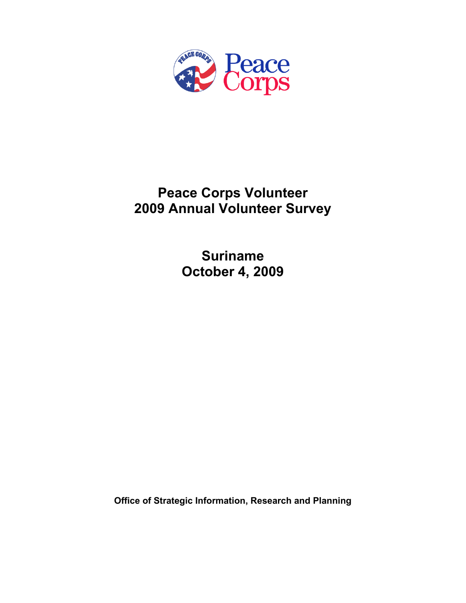

# **Peace Corps Volunteer 2009 Annual Volunteer Survey**

**Suriname October 4, 2009** 

**Office of Strategic Information, Research and Planning**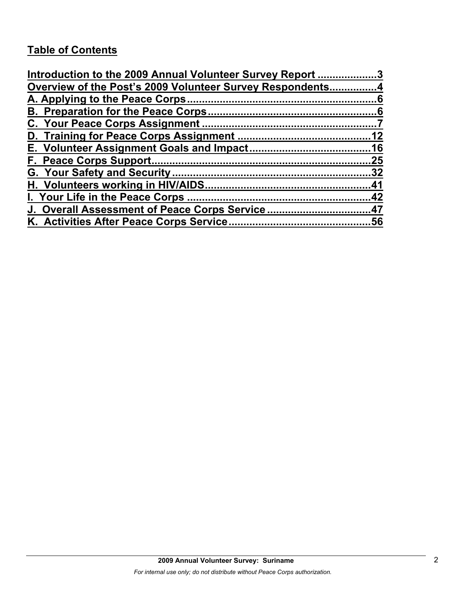# **Table of Contents**

| Introduction to the 2009 Annual Volunteer Survey Report 3 |     |
|-----------------------------------------------------------|-----|
| Overview of the Post's 2009 Volunteer Survey Respondents4 |     |
|                                                           |     |
|                                                           |     |
|                                                           |     |
|                                                           |     |
|                                                           |     |
|                                                           | .25 |
|                                                           |     |
|                                                           |     |
|                                                           |     |
| J. Overall Assessment of Peace Corps Service47            |     |
|                                                           |     |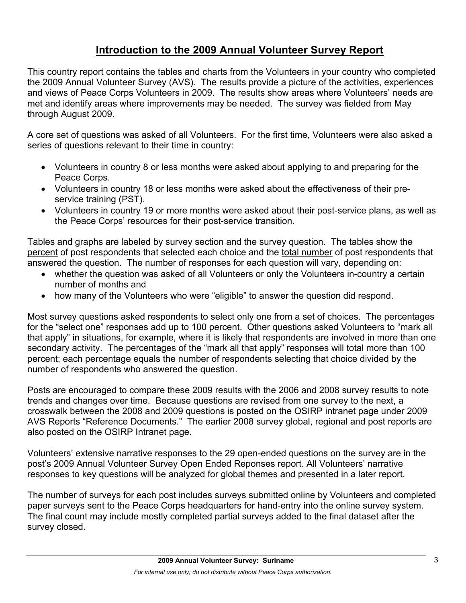# **Introduction to the 2009 Annual Volunteer Survey Report**

This country report contains the tables and charts from the Volunteers in your country who completed the 2009 Annual Volunteer Survey (AVS). The results provide a picture of the activities, experiences and views of Peace Corps Volunteers in 2009. The results show areas where Volunteers' needs are met and identify areas where improvements may be needed. The survey was fielded from May through August 2009.

A core set of questions was asked of all Volunteers. For the first time, Volunteers were also asked a series of questions relevant to their time in country:

- Volunteers in country 8 or less months were asked about applying to and preparing for the Peace Corps.
- Volunteers in country 18 or less months were asked about the effectiveness of their preservice training (PST).
- Volunteers in country 19 or more months were asked about their post-service plans, as well as the Peace Corps' resources for their post-service transition.

Tables and graphs are labeled by survey section and the survey question. The tables show the percent of post respondents that selected each choice and the total number of post respondents that answered the question. The number of responses for each question will vary, depending on:

- whether the question was asked of all Volunteers or only the Volunteers in-country a certain number of months and
- how many of the Volunteers who were "eligible" to answer the question did respond.

Most survey questions asked respondents to select only one from a set of choices. The percentages for the "select one" responses add up to 100 percent. Other questions asked Volunteers to "mark all that apply" in situations, for example, where it is likely that respondents are involved in more than one secondary activity. The percentages of the "mark all that apply" responses will total more than 100 percent; each percentage equals the number of respondents selecting that choice divided by the number of respondents who answered the question.

Posts are encouraged to compare these 2009 results with the 2006 and 2008 survey results to note trends and changes over time. Because questions are revised from one survey to the next, a crosswalk between the 2008 and 2009 questions is posted on the OSIRP intranet page under 2009 AVS Reports "Reference Documents." The earlier 2008 survey global, regional and post reports are also posted on the OSIRP Intranet page.

Volunteers' extensive narrative responses to the 29 open-ended questions on the survey are in the post's 2009 Annual Volunteer Survey Open Ended Reponses report. All Volunteers' narrative responses to key questions will be analyzed for global themes and presented in a later report.

The number of surveys for each post includes surveys submitted online by Volunteers and completed paper surveys sent to the Peace Corps headquarters for hand-entry into the online survey system. The final count may include mostly completed partial surveys added to the final dataset after the survey closed.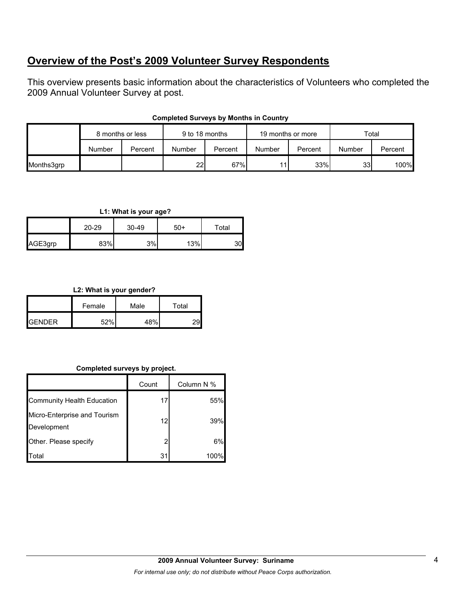## **Overview of the Post's 2009 Volunteer Survey Respondents**

This overview presents basic information about the characteristics of Volunteers who completed the 2009 Annual Volunteer Survey at post.

|            | 8 months or less |         | 9 to 18 months  |         | 19 months or more |         | Total  |         |
|------------|------------------|---------|-----------------|---------|-------------------|---------|--------|---------|
|            | Number           | Percent | Number          | Percent | Number            | Percent | Number | Percent |
| Months3grp |                  |         | 22 <sub>1</sub> | 67%     |                   | 33%     | 33     | 100%    |

### **Completed Surveys by Months in Country**

### **L1: What is your age?**

|         | $20 - 29$ | 30-49 | $50+$ | Total |
|---------|-----------|-------|-------|-------|
| AGE3grp | 83%       | 3%    | 13%   | 301   |

### **L2: What is your gender?**

|                 | Female | Male | Total |
|-----------------|--------|------|-------|
| <b>I</b> GENDER | 52%    | 48%  |       |

### **Completed surveys by project.**

|                                             | Count | Column N % |
|---------------------------------------------|-------|------------|
| Community Health Education                  | 17    | 55%        |
| Micro-Enterprise and Tourism<br>Development | 12    | 39%        |
| Other. Please specify                       | 2     | 6%         |
| `otal                                       | 31    | 100%       |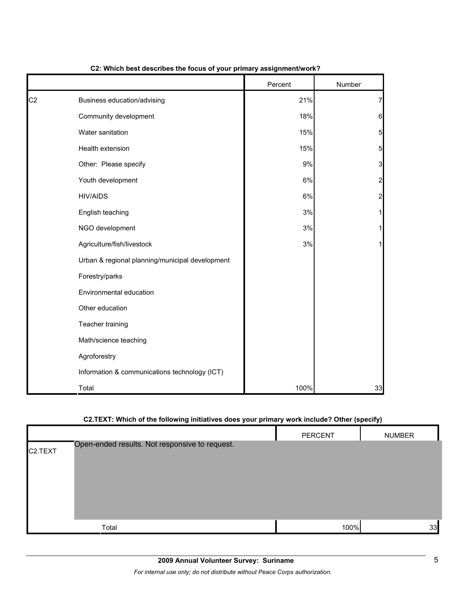|                |                                                 | Percent | Number                  |
|----------------|-------------------------------------------------|---------|-------------------------|
| C <sub>2</sub> | Business education/advising                     | 21%     | 7                       |
|                | Community development                           | 18%     | $6\phantom{1}6$         |
|                | Water sanitation                                | 15%     | 5                       |
|                | Health extension                                | 15%     | 5                       |
|                | Other: Please specify                           | 9%      | 3                       |
|                | Youth development                               | 6%      | $\overline{\mathbf{c}}$ |
|                | <b>HIV/AIDS</b>                                 | 6%      | $\overline{\mathbf{c}}$ |
|                | English teaching                                | 3%      | 1                       |
|                | NGO development                                 | 3%      | 1                       |
|                | Agriculture/fish/livestock                      | $3%$    | 1                       |
|                | Urban & regional planning/municipal development |         |                         |
|                | Forestry/parks                                  |         |                         |
|                | Environmental education                         |         |                         |
|                | Other education                                 |         |                         |
|                | Teacher training                                |         |                         |
|                | Math/science teaching                           |         |                         |
|                | Agroforestry                                    |         |                         |
|                | Information & communications technology (ICT)   |         |                         |
|                | Total                                           | 100%    | 33                      |

#### **C2: Which best describes the focus of your primary assignment/work?**

## **C2.TEXT: Which of the following initiatives does your primary work include? Other (specify)**

|                      |                                                | PERCENT | <b>NUMBER</b> |
|----------------------|------------------------------------------------|---------|---------------|
| C <sub>2</sub> .TEXT | Open-ended results. Not responsive to request. |         |               |
|                      |                                                |         |               |
|                      |                                                |         |               |
|                      |                                                |         |               |
|                      |                                                |         |               |
|                      | Total                                          | 100%    | 33            |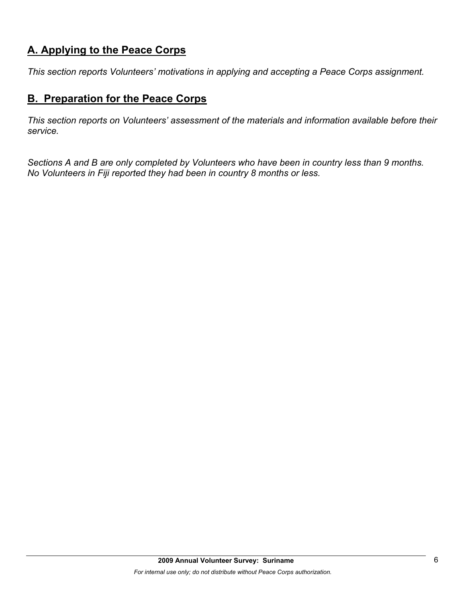# **A. Applying to the Peace Corps**

*This section reports Volunteers' motivations in applying and accepting a Peace Corps assignment.* 

## **B. Preparation for the Peace Corps**

*This section reports on Volunteers' assessment of the materials and information available before their service.* 

*Sections A and B are only completed by Volunteers who have been in country less than 9 months. No Volunteers in Fiji reported they had been in country 8 months or less.*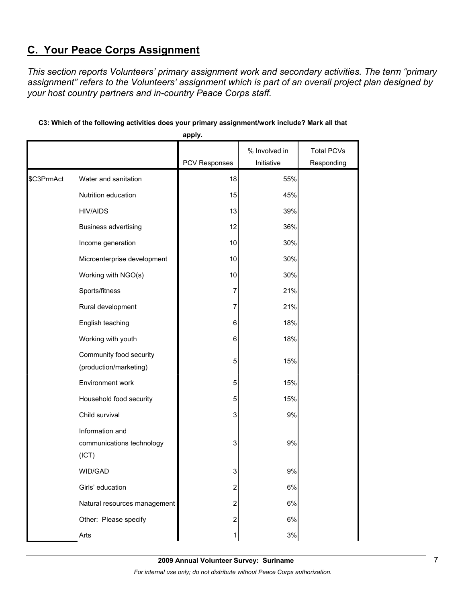# **C. Your Peace Corps Assignment**

*This section reports Volunteers' primary assignment work and secondary activities. The term "primary assignment" refers to the Volunteers' assignment which is part of an overall project plan designed by your host country partners and in-country Peace Corps staff.* 

|            |                                                       | apply.               |               |                   |
|------------|-------------------------------------------------------|----------------------|---------------|-------------------|
|            |                                                       |                      | % Involved in | <b>Total PCVs</b> |
|            |                                                       | <b>PCV Responses</b> | Initiative    | Responding        |
| \$C3PrmAct | Water and sanitation                                  | 18                   | 55%           |                   |
|            | Nutrition education                                   | 15                   | 45%           |                   |
|            | <b>HIV/AIDS</b>                                       | 13                   | 39%           |                   |
|            | <b>Business advertising</b>                           | 12                   | 36%           |                   |
|            | Income generation                                     | 10                   | 30%           |                   |
|            | Microenterprise development                           | 10                   | 30%           |                   |
|            | Working with NGO(s)                                   | 10                   | 30%           |                   |
|            | Sports/fitness                                        | 7                    | 21%           |                   |
|            | Rural development                                     | 7                    | 21%           |                   |
|            | English teaching                                      | 6                    | 18%           |                   |
|            | Working with youth                                    | 6                    | 18%           |                   |
|            | Community food security<br>(production/marketing)     | 5                    | 15%           |                   |
|            | Environment work                                      | 5                    | 15%           |                   |
|            | Household food security                               | 5                    | 15%           |                   |
|            | Child survival                                        | 3                    | 9%            |                   |
|            | Information and<br>communications technology<br>(ICT) | 3                    | 9%            |                   |
|            | WID/GAD                                               | 3                    | 9%            |                   |
|            | Girls' education                                      | 2                    | 6%            |                   |
|            | Natural resources management                          | 2                    | 6%            |                   |
|            | Other: Please specify                                 | $\overline{c}$       | 6%            |                   |
|            | Arts                                                  | 1                    | 3%            |                   |

### **C3: Which of the following activities does your primary assignment/work include? Mark all that**

**2009 Annual Volunteer Survey: Suriname**  *For internal use only; do not distribute without Peace Corps authorization.*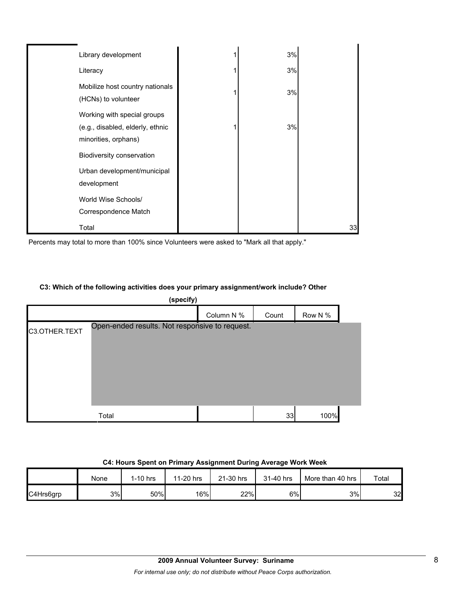| Library development                                                                     | 3% |    |
|-----------------------------------------------------------------------------------------|----|----|
| Literacy                                                                                | 3% |    |
| Mobilize host country nationals<br>(HCNs) to volunteer                                  | 3% |    |
| Working with special groups<br>(e.g., disabled, elderly, ethnic<br>minorities, orphans) | 3% |    |
| Biodiversity conservation                                                               |    |    |
| Urban development/municipal<br>development                                              |    |    |
| World Wise Schools/<br>Correspondence Match                                             |    |    |
| Total                                                                                   |    | 33 |

Percents may total to more than 100% since Volunteers were asked to "Mark all that apply."

### **C3: Which of the following activities does your primary assignment/work include? Other**

| (specify)     |                                                |            |       |         |  |  |  |
|---------------|------------------------------------------------|------------|-------|---------|--|--|--|
|               |                                                | Column N % | Count | Row N % |  |  |  |
| C3.OTHER.TEXT | Open-ended results. Not responsive to request. |            |       |         |  |  |  |
|               | Total                                          |            | 33    | 100%    |  |  |  |

#### **C4: Hours Spent on Primary Assignment During Average Work Week**

|           | None | 1-10 hrs | 11-20 hrs | 21-30 hrs | 31-40 hrs | More than 40 hrs | Total |
|-----------|------|----------|-----------|-----------|-----------|------------------|-------|
| C4Hrs6grp | 3%   | 50%      | 16%       | 22%       | 6%l       | 3%               | 32    |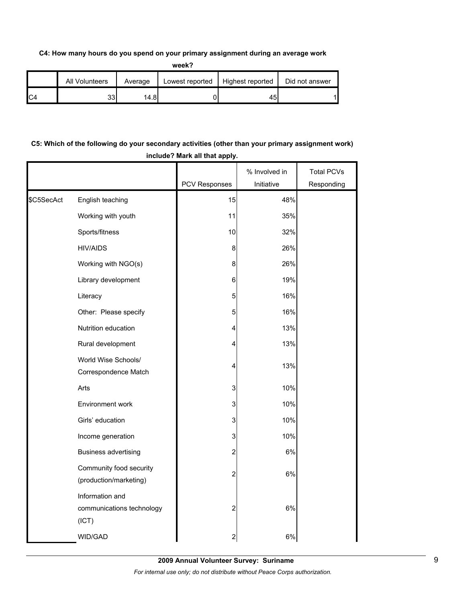#### **C4: How many hours do you spend on your primary assignment during an average work**

**week?**

|     | All Volunteers | Average | Lowest reported | Highest reported | Did not answer |
|-----|----------------|---------|-----------------|------------------|----------------|
| IC4 | つつ<br>၁၁၊      | 14.81   |                 | 45.              |                |

## **C5: Which of the following do your secondary activities (other than your primary assignment work) include? Mark all that apply.**

|            |                                                       | PCV Responses           | % Involved in<br>Initiative | <b>Total PCVs</b><br>Responding |
|------------|-------------------------------------------------------|-------------------------|-----------------------------|---------------------------------|
|            |                                                       |                         |                             |                                 |
| \$C5SecAct | English teaching                                      | 15                      | 48%                         |                                 |
|            | Working with youth                                    | 11                      | 35%                         |                                 |
|            | Sports/fitness                                        | 10                      | 32%                         |                                 |
|            | <b>HIV/AIDS</b>                                       | 8                       | 26%                         |                                 |
|            | Working with NGO(s)                                   | 8                       | 26%                         |                                 |
|            | Library development                                   | 6                       | 19%                         |                                 |
|            | Literacy                                              | 5                       | 16%                         |                                 |
|            | Other: Please specify                                 | 5                       | 16%                         |                                 |
|            | Nutrition education                                   | 4                       | 13%                         |                                 |
|            | Rural development                                     | 4                       | 13%                         |                                 |
|            | World Wise Schools/<br>Correspondence Match           | 4                       | 13%                         |                                 |
|            | Arts                                                  | 3                       | 10%                         |                                 |
|            |                                                       |                         |                             |                                 |
|            | Environment work                                      | 3                       | 10%                         |                                 |
|            | Girls' education                                      | 3                       | 10%                         |                                 |
|            | Income generation                                     | 3                       | 10%                         |                                 |
|            | <b>Business advertising</b>                           | 2                       | 6%                          |                                 |
|            | Community food security<br>(production/marketing)     | $\overline{\mathbf{c}}$ | 6%                          |                                 |
|            | Information and<br>communications technology<br>(ICT) | $\boldsymbol{2}$        | 6%                          |                                 |
|            | <b>WID/GAD</b>                                        | $\overline{\mathbf{c}}$ | 6%                          |                                 |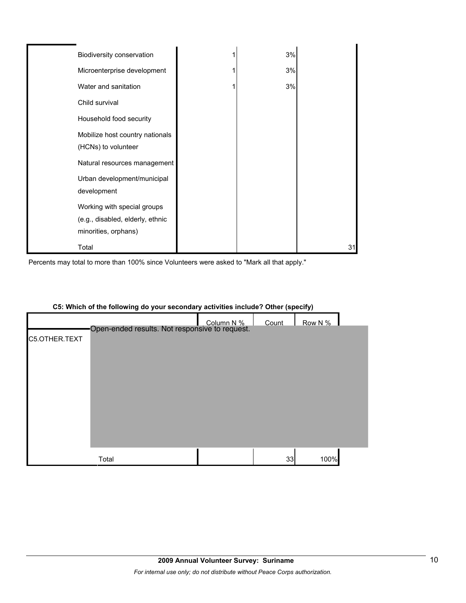| Biodiversity conservation        | 3% |    |
|----------------------------------|----|----|
| Microenterprise development      | 3% |    |
| Water and sanitation             | 3% |    |
| Child survival                   |    |    |
| Household food security          |    |    |
| Mobilize host country nationals  |    |    |
| (HCNs) to volunteer              |    |    |
| Natural resources management     |    |    |
| Urban development/municipal      |    |    |
| development                      |    |    |
| Working with special groups      |    |    |
| (e.g., disabled, elderly, ethnic |    |    |
| minorities, orphans)             |    |    |
| Total                            |    | 31 |

Percents may total to more than 100% since Volunteers were asked to "Mark all that apply."



#### **C5: Which of the following do your secondary activities include? Other (specify)**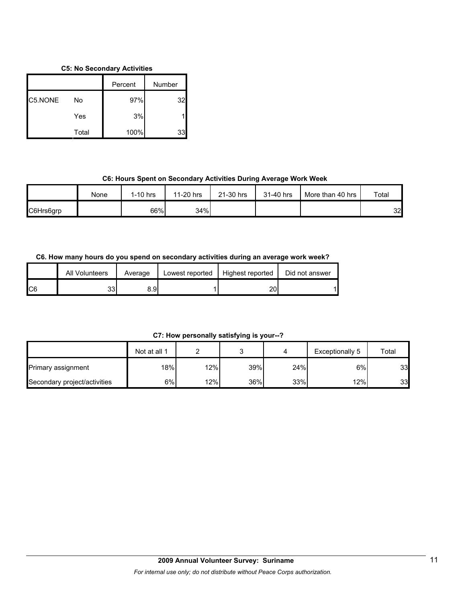#### **C5: No Secondary Activities**

|         |       | Percent | Number |
|---------|-------|---------|--------|
| C5.NONE | No    | 97%     | 32     |
|         | Yes   | 3%      |        |
|         | Total | 100%    | 33     |

## **C6: Hours Spent on Secondary Activities During Average Work Week**

|           | None | $1-10$ hrs | 11-20 hrs | 21-30 hrs | 31-40 hrs | More than 40 hrs | Total |
|-----------|------|------------|-----------|-----------|-----------|------------------|-------|
| C6Hrs6grp |      | 66%        | 34%       |           |           |                  | 32    |

### **C6. How many hours do you spend on secondary activities during an average work week?**

|     | All Volunteers | Average | Lowest reported | Highest reported | Did not answer |
|-----|----------------|---------|-----------------|------------------|----------------|
| IC6 | 33             | 8.9I    |                 | า∩<br>۷J         |                |

**C7: How personally satisfying is your--?**

|                              | Not at all 1 |     |     |     | Exceptionally 5 | Total |
|------------------------------|--------------|-----|-----|-----|-----------------|-------|
| <b>Primary assignment</b>    | 18%          | 12% | 39% | 24% | 6%              | 33    |
| Secondary project/activities | 6%           | 12% | 36% | 33% | $12\%$          | 33    |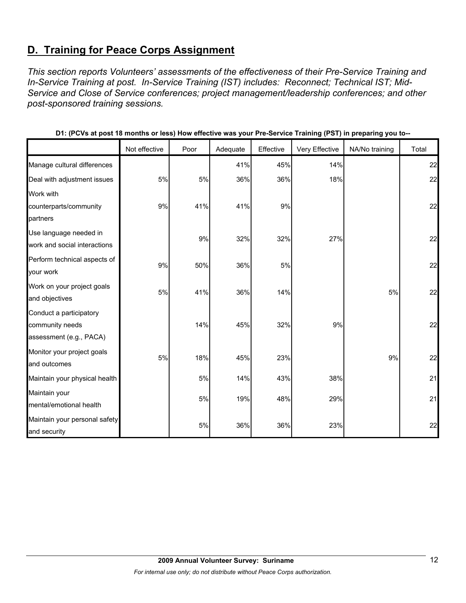# **D. Training for Peace Corps Assignment**

*This section reports Volunteers' assessments of the effectiveness of their Pre-Service Training and In-Service Training at post. In-Service Training (IST) includes: Reconnect; Technical IST; Mid-Service and Close of Service conferences; project management/leadership conferences; and other post-sponsored training sessions.* 

|                               | Not effective | Poor | Adequate | Effective | Very Effective | NA/No training | Total |
|-------------------------------|---------------|------|----------|-----------|----------------|----------------|-------|
| Manage cultural differences   |               |      | 41%      | 45%       | 14%            |                | 22    |
| Deal with adjustment issues   | 5%            | 5%   | 36%      | 36%       | 18%            |                | 22    |
| Work with                     |               |      |          |           |                |                |       |
| counterparts/community        | 9%            | 41%  | 41%      | 9%        |                |                | 22    |
| partners                      |               |      |          |           |                |                |       |
| Use language needed in        |               | 9%   | 32%      | 32%       | 27%            |                | 22    |
| work and social interactions  |               |      |          |           |                |                |       |
| Perform technical aspects of  | 9%            | 50%  | 36%      | 5%        |                |                | 22    |
| your work                     |               |      |          |           |                |                |       |
| Work on your project goals    | 5%            | 41%  | 36%      | 14%       |                | 5%             | 22    |
| and objectives                |               |      |          |           |                |                |       |
| Conduct a participatory       |               |      |          |           |                |                |       |
| community needs               |               | 14%  | 45%      | 32%       | 9%             |                | 22    |
| assessment (e.g., PACA)       |               |      |          |           |                |                |       |
| Monitor your project goals    | 5%            | 18%  | 45%      | 23%       |                | 9%             | 22    |
| and outcomes                  |               |      |          |           |                |                |       |
| Maintain your physical health |               | 5%   | 14%      | 43%       | 38%            |                | 21    |
| Maintain your                 |               |      |          |           |                |                | 21    |
| mental/emotional health       |               | 5%   | 19%      | 48%       | 29%            |                |       |
| Maintain your personal safety |               |      |          |           |                |                |       |
| and security                  |               | 5%   | 36%      | 36%       | 23%            |                | 22    |

**D1: (PCVs at post 18 months or less) How effective was your Pre-Service Training (PST) in preparing you to--**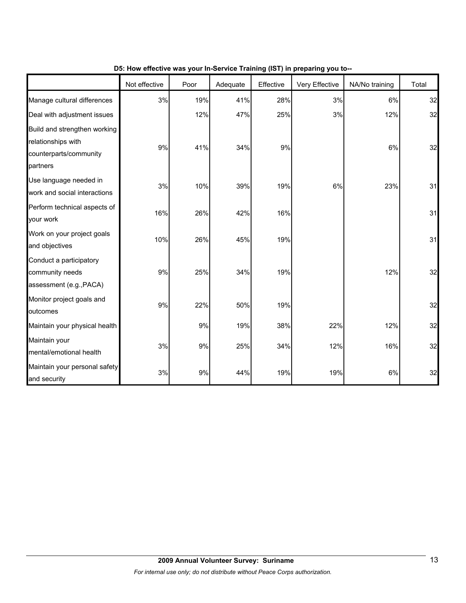|                                                                                          | Not effective | Poor | Adequate | Effective | Very Effective | NA/No training | Total |
|------------------------------------------------------------------------------------------|---------------|------|----------|-----------|----------------|----------------|-------|
| Manage cultural differences                                                              | 3%            | 19%  | 41%      | 28%       | 3%             | 6%             | 32    |
| Deal with adjustment issues                                                              |               | 12%  | 47%      | 25%       | 3%             | 12%            | 32    |
| Build and strengthen working<br>relationships with<br>counterparts/community<br>partners | 9%            | 41%  | 34%      | 9%        |                | 6%             | 32    |
| Use language needed in<br>work and social interactions                                   | 3%            | 10%  | 39%      | 19%       | 6%             | 23%            | 31    |
| Perform technical aspects of<br>your work                                                | 16%           | 26%  | 42%      | 16%       |                |                | 31    |
| Work on your project goals<br>and objectives                                             | 10%           | 26%  | 45%      | 19%       |                |                | 31    |
| Conduct a participatory<br>community needs<br>assessment (e.g., PACA)                    | 9%            | 25%  | 34%      | 19%       |                | 12%            | 32    |
| Monitor project goals and<br>outcomes                                                    | 9%            | 22%  | 50%      | 19%       |                |                | 32    |
| Maintain your physical health                                                            |               | 9%   | 19%      | 38%       | 22%            | 12%            | 32    |
| Maintain your<br>mental/emotional health                                                 | 3%            | 9%   | 25%      | 34%       | 12%            | 16%            | 32    |
| Maintain your personal safety<br>and security                                            | 3%            | 9%   | 44%      | 19%       | 19%            | 6%             | 32    |

## **D5: How effective was your In-Service Training (IST) in preparing you to--**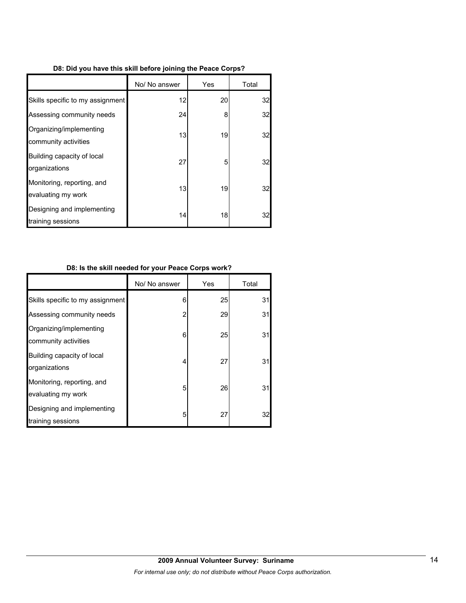|  |  |  | D8: Did you have this skill before joining the Peace Corps? |  |  |
|--|--|--|-------------------------------------------------------------|--|--|
|  |  |  |                                                             |  |  |

|                                                  | No/ No answer | Yes | Total |
|--------------------------------------------------|---------------|-----|-------|
| Skills specific to my assignment                 | 12            | 20  | 32    |
| Assessing community needs                        | 24            | 8   | 32    |
| Organizing/implementing<br>community activities  | 13            | 19  | 32    |
| Building capacity of local<br>organizations      | 27            | 5   | 32    |
| Monitoring, reporting, and<br>evaluating my work | 13            | 19  | 32    |
| Designing and implementing<br>training sessions  | 14            | 18  | 32    |

## **D8: Is the skill needed for your Peace Corps work?**

|                                                  | No/ No answer  | Yes | Total |
|--------------------------------------------------|----------------|-----|-------|
| Skills specific to my assignment                 | 6              | 25  | 31    |
| Assessing community needs                        | $\overline{2}$ | 29  | 31    |
| Organizing/implementing<br>community activities  | 6              | 25  | 31    |
| Building capacity of local<br>organizations      | 4              | 27  | 31    |
| Monitoring, reporting, and<br>evaluating my work | 5              | 26  | 31    |
| Designing and implementing<br>training sessions  | 5              | 27  | 32    |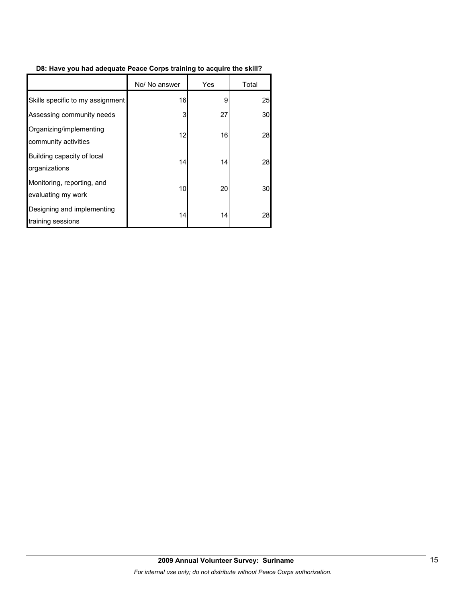## **D8: Have you had adequate Peace Corps training to acquire the skill?**

|                                                  | No/ No answer | Yes | Total |
|--------------------------------------------------|---------------|-----|-------|
| Skills specific to my assignment                 | 16            | 9   | 25    |
| Assessing community needs                        | 3             | 27  | 30    |
| Organizing/implementing<br>community activities  | 12            | 16  | 28    |
| Building capacity of local<br>organizations      | 14            | 14  | 28    |
| Monitoring, reporting, and<br>evaluating my work | 10            | 20  | 30    |
| Designing and implementing<br>training sessions  | 14            | 14  | 28    |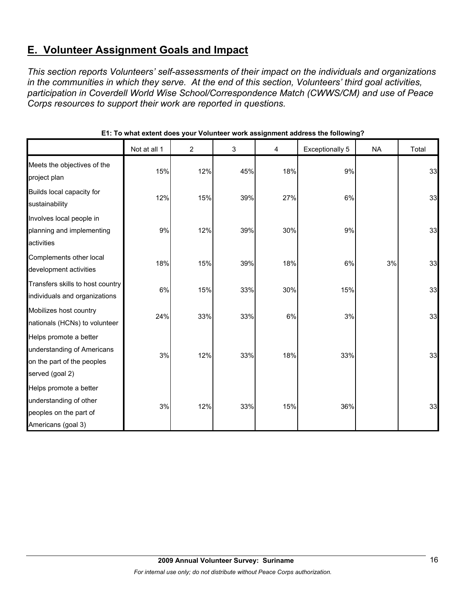# **E. Volunteer Assignment Goals and Impact**

*This section reports Volunteers' self-assessments of their impact on the individuals and organizations in the communities in which they serve. At the end of this section, Volunteers' third goal activities, participation in Coverdell World Wise School/Correspondence Match (CWWS/CM) and use of Peace Corps resources to support their work are reported in questions.* 

|                                                                                                       | Not at all 1 | $\overline{c}$ | 3   | 4   | Exceptionally 5 | <b>NA</b> | Total |
|-------------------------------------------------------------------------------------------------------|--------------|----------------|-----|-----|-----------------|-----------|-------|
| Meets the objectives of the<br>project plan                                                           | 15%          | 12%            | 45% | 18% | 9%              |           | 33    |
| Builds local capacity for<br>sustainability                                                           | 12%          | 15%            | 39% | 27% | 6%              |           | 33    |
| Involves local people in<br>planning and implementing<br>activities                                   | 9%           | 12%            | 39% | 30% | 9%              |           | 33    |
| Complements other local<br>development activities                                                     | 18%          | 15%            | 39% | 18% | 6%              | 3%        | 33    |
| Transfers skills to host country<br>individuals and organizations                                     | 6%           | 15%            | 33% | 30% | 15%             |           | 33    |
| Mobilizes host country<br>nationals (HCNs) to volunteer                                               | 24%          | 33%            | 33% | 6%  | 3%              |           | 33    |
| Helps promote a better<br>understanding of Americans<br>on the part of the peoples<br>served (goal 2) | 3%           | 12%            | 33% | 18% | 33%             |           | 33    |
| Helps promote a better<br>understanding of other<br>peoples on the part of<br>Americans (goal 3)      | 3%           | 12%            | 33% | 15% | 36%             |           | 33    |

**E1: To what extent does your Volunteer work assignment address the following?**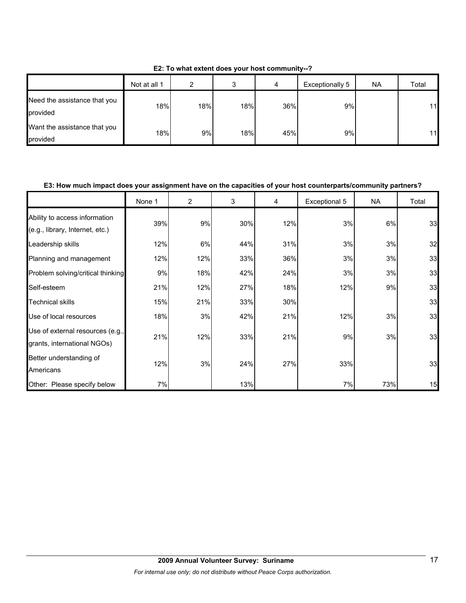|                                          | Not at all 1 | ົ   | ◠<br>c | 4   | Exceptionally 5 | <b>NA</b> | Total |
|------------------------------------------|--------------|-----|--------|-----|-----------------|-----------|-------|
| Need the assistance that you<br>provided | 18%          | 18% | 18%    | 36% | 9%              |           | 11    |
| Want the assistance that you<br>provided | 18%          | 9%  | 18%    | 45% | 9%              |           | 11    |

**E2: To what extent does your host community--?**

#### **E3: How much impact does your assignment have on the capacities of your host counterparts/community partners?**

|                                                                  | None 1 | 2   | 3   | 4   | Exceptional 5 | <b>NA</b> | Total |
|------------------------------------------------------------------|--------|-----|-----|-----|---------------|-----------|-------|
| Ability to access information<br>(e.g., library, Internet, etc.) | 39%    | 9%  | 30% | 12% | 3%            | 6%        | 33    |
| Leadership skills                                                | 12%    | 6%  | 44% | 31% | 3%            | 3%        | 32    |
| Planning and management                                          | 12%    | 12% | 33% | 36% | 3%            | 3%        | 33    |
| Problem solving/critical thinking                                | 9%     | 18% | 42% | 24% | 3%            | 3%        | 33    |
| Self-esteem                                                      | 21%    | 12% | 27% | 18% | 12%           | 9%        | 33    |
| <b>Technical skills</b>                                          | 15%    | 21% | 33% | 30% |               |           | 33    |
| Use of local resources                                           | 18%    | 3%  | 42% | 21% | 12%           | 3%        | 33    |
| Use of external resources (e.g.,<br>grants, international NGOs)  | 21%    | 12% | 33% | 21% | 9%            | 3%        | 33    |
| Better understanding of<br>Americans                             | 12%    | 3%  | 24% | 27% | 33%           |           | 33    |
| Other: Please specify below                                      | 7%     |     | 13% |     | 7%            | 73%       | 15    |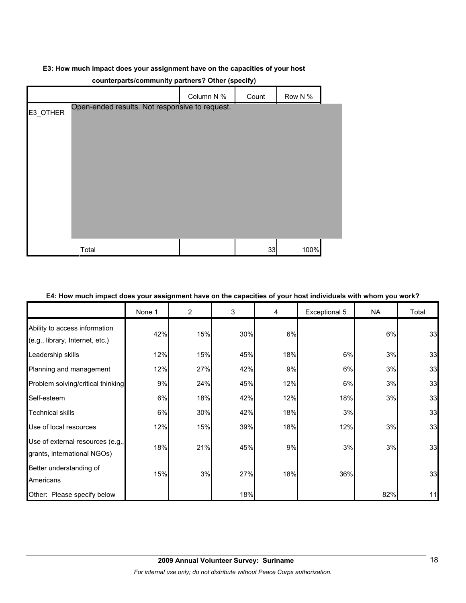#### **E3: How much impact does your assignment have on the capacities of your host**

|          | $\frac{1}{2}$                                  |            |       |         |
|----------|------------------------------------------------|------------|-------|---------|
|          |                                                | Column N % | Count | Row N % |
| E3_OTHER | Open-ended results. Not responsive to request. |            |       |         |
|          | Total                                          |            | 33    | 100%    |

### **counterparts/community partners? Other (specify)**

#### **E4: How much impact does your assignment have on the capacities of your host individuals with whom you work?**

|                                                                  | None 1 | $\overline{2}$ | 3   | 4   | Exceptional 5 | <b>NA</b> | Total |
|------------------------------------------------------------------|--------|----------------|-----|-----|---------------|-----------|-------|
| Ability to access information<br>(e.g., library, Internet, etc.) | 42%    | 15%            | 30% | 6%  |               | 6%        | 33    |
| Leadership skills                                                | 12%    | 15%            | 45% | 18% | 6%            | 3%        | 33    |
| Planning and management                                          | 12%    | 27%            | 42% | 9%  | 6%            | 3%        | 33    |
| Problem solving/critical thinking                                | 9%     | 24%            | 45% | 12% | 6%            | 3%        | 33    |
| Self-esteem                                                      | 6%     | 18%            | 42% | 12% | 18%           | 3%        | 33    |
| <b>Technical skills</b>                                          | 6%     | 30%            | 42% | 18% | 3%            |           | 33    |
| Use of local resources                                           | 12%    | 15%            | 39% | 18% | 12%           | 3%        | 33    |
| Use of external resources (e.g.,<br>grants, international NGOs)  | 18%    | 21%            | 45% | 9%  | 3%            | 3%        | 33    |
| Better understanding of<br>Americans                             | 15%    | 3%             | 27% | 18% | 36%           |           | 33    |
| Other: Please specify below                                      |        |                | 18% |     |               | 82%       | 11    |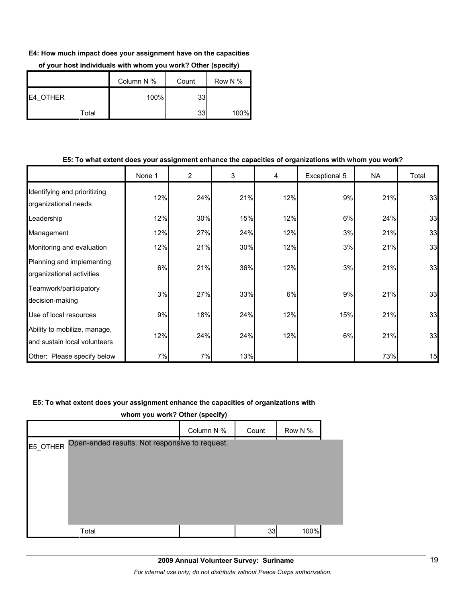#### **E4: How much impact does your assignment have on the capacities**

|                  | Column N % |      | Count           | Row N % |
|------------------|------------|------|-----------------|---------|
| <b>IE4 OTHER</b> |            | 100% | 33              |         |
| Total            |            |      | 33 <sup>°</sup> | 100%    |

#### **of your host individuals with whom you work? Other (specify)**

#### **E5: To what extent does your assignment enhance the capacities of organizations with whom you work?**

|                                                              | None 1 | $\overline{2}$ | 3   | 4   | Exceptional 5 | NA. | Total |
|--------------------------------------------------------------|--------|----------------|-----|-----|---------------|-----|-------|
| Identifying and prioritizing<br>organizational needs         | 12%    | 24%            | 21% | 12% | 9%            | 21% | 33    |
| Leadership                                                   | 12%    | 30%            | 15% | 12% | 6%            | 24% | 33    |
| Management                                                   | 12%    | 27%            | 24% | 12% | 3%            | 21% | 33    |
| Monitoring and evaluation                                    | 12%    | 21%            | 30% | 12% | 3%            | 21% | 33    |
| Planning and implementing<br>organizational activities       | 6%     | 21%            | 36% | 12% | 3%            | 21% | 33    |
| Teamwork/participatory<br>decision-making                    | 3%     | 27%            | 33% | 6%  | 9%            | 21% | 33    |
| Use of local resources                                       | 9%     | 18%            | 24% | 12% | 15%           | 21% | 33    |
| Ability to mobilize, manage,<br>and sustain local volunteers | 12%    | 24%            | 24% | 12% | 6%            | 21% | 33    |
| Other: Please specify below                                  | 7%     | 7%             | 13% |     |               | 73% | 15    |

#### **E5: To what extent does your assignment enhance the capacities of organizations with**

| whom you work? Other (specify) |  |
|--------------------------------|--|
|                                |  |

|                                                         | Column N % | Count | Row N % |  |
|---------------------------------------------------------|------------|-------|---------|--|
| E5_OTHER Open-ended results. Not responsive to request. |            |       |         |  |
|                                                         |            |       |         |  |
|                                                         |            |       |         |  |
|                                                         |            |       |         |  |
|                                                         |            |       |         |  |
|                                                         |            |       |         |  |
| Total                                                   |            | 33    | 100%    |  |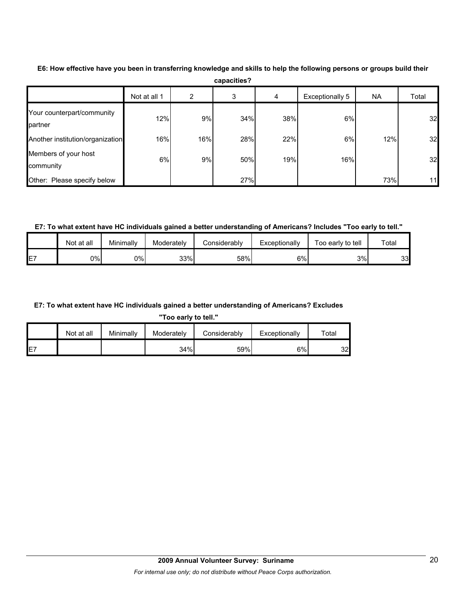|                                       | Not at all 1 | 2   | 3   | 4   | Exceptionally 5 | <b>NA</b> | Total           |
|---------------------------------------|--------------|-----|-----|-----|-----------------|-----------|-----------------|
| Your counterpart/community<br>partner | 12%          | 9%  | 34% | 38% | 6%              |           | 32              |
| Another institution/organization      | 16%          | 16% | 28% | 22% | 6%              | 12%       | 32              |
| Members of your host<br>community     | 6%           | 9%  | 50% | 19% | 16%             |           | 32              |
| Other: Please specify below           |              |     | 27% |     |                 | 73%       | 11 <sub>h</sub> |

**E6: How effective have you been in transferring knowledge and skills to help the following persons or groups build their capacities?**

**E7: To what extent have HC individuals gained a better understanding of Americans? Includes "Too early to tell."**

|    | Not at all | Minimally | Moderately | Considerablv | Exceptionally | Too early to tell | Total |
|----|------------|-----------|------------|--------------|---------------|-------------------|-------|
| E7 | 0%l        | 0%l       | 33%        | 58%          | 6%            | 3%                | 33    |

### **E7: To what extent have HC individuals gained a better understanding of Americans? Excludes**

**"Too early to tell."**

|     | Not at all | Minimally | Moderately | Considerably | Exceptionally | $\tau$ otal |
|-----|------------|-----------|------------|--------------|---------------|-------------|
| IE7 |            |           | 34%        | 59%          | 6%            | 32          |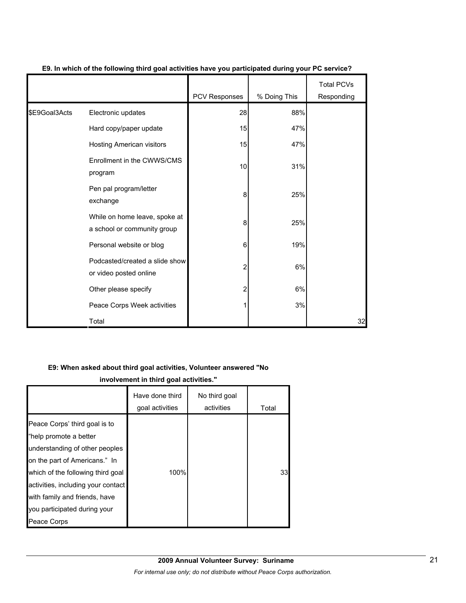|               |                                                              |               |              | <b>Total PCVs</b> |
|---------------|--------------------------------------------------------------|---------------|--------------|-------------------|
|               |                                                              | PCV Responses | % Doing This | Responding        |
| \$E9Goal3Acts | Electronic updates                                           | 28            | 88%          |                   |
|               | Hard copy/paper update                                       | 15            | 47%          |                   |
|               | <b>Hosting American visitors</b>                             | 15            | 47%          |                   |
|               | Enrollment in the CWWS/CMS<br>program                        | 10            | 31%          |                   |
|               | Pen pal program/letter<br>exchange                           | 8             | 25%          |                   |
|               | While on home leave, spoke at<br>a school or community group | 8             | 25%          |                   |
|               | Personal website or blog                                     | 6             | 19%          |                   |
|               | Podcasted/created a slide show<br>or video posted online     | 2             | 6%           |                   |
|               | Other please specify                                         | 2             | 6%           |                   |
|               | Peace Corps Week activities                                  |               | 3%           |                   |
|               | Total                                                        |               |              | 32                |

### **E9. In which of the following third goal activities have you participated during your PC service?**

#### **E9: When asked about third goal activities, Volunteer answered "No**

**involvement in third goal activities."** 

|                                                                                                                                                                                                                                                                                       | Have done third<br>goal activities | No third goal<br>activities | Total |
|---------------------------------------------------------------------------------------------------------------------------------------------------------------------------------------------------------------------------------------------------------------------------------------|------------------------------------|-----------------------------|-------|
| Peace Corps' third goal is to<br>"help promote a better<br>understanding of other peoples<br>on the part of Americans." In<br>which of the following third goal<br>activities, including your contact<br>with family and friends, have<br>you participated during your<br>Peace Corps | 100%                               |                             | 33    |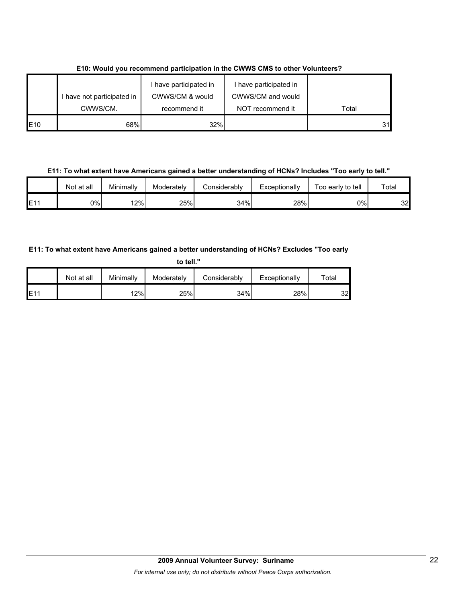|                 | I have not participated in | I have participated in<br>CWWS/CM & would | I have participated in<br>CWWS/CM and would |       |
|-----------------|----------------------------|-------------------------------------------|---------------------------------------------|-------|
|                 | CWWS/CM.                   | recommend it                              | NOT recommend it                            | Total |
| E <sub>10</sub> | 68%                        | 32%                                       |                                             | 31    |

**E10: Would you recommend participation in the CWWS CMS to other Volunteers?**

**E11: To what extent have Americans gained a better understanding of HCNs? Includes "Too early to tell."**

|     | Not at all | Minimally | Moderately | Considerably | Exceptionally | -<br>Too early to tell | $\tau$ otal |
|-----|------------|-----------|------------|--------------|---------------|------------------------|-------------|
| E11 | 0%l        | 2%        | 25%        | 34%          | 28%           | 0%l                    | 32          |

## **E11: To what extent have Americans gained a better understanding of HCNs? Excludes "Too early**

| to tell." |            |           |            |              |               |       |  |  |
|-----------|------------|-----------|------------|--------------|---------------|-------|--|--|
|           | Not at all | Minimally | Moderately | Considerably | Exceptionally | Total |  |  |
| E11       |            | 12%       | 25%        | 34%          | 28%           | 32    |  |  |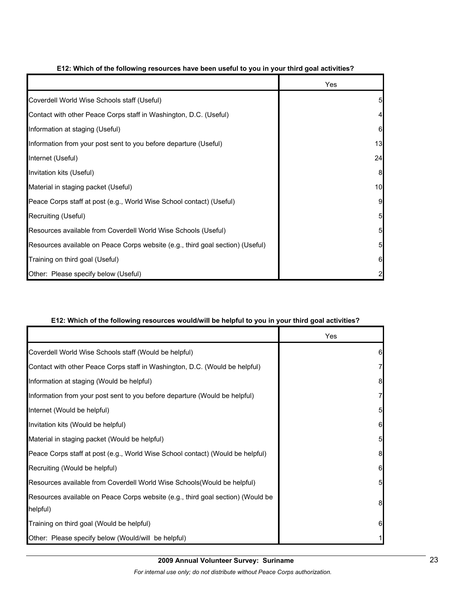|                                                                                | Yes             |
|--------------------------------------------------------------------------------|-----------------|
| Coverdell World Wise Schools staff (Useful)                                    | 5               |
| Contact with other Peace Corps staff in Washington, D.C. (Useful)              | 4               |
| Information at staging (Useful)                                                | 6               |
| Information from your post sent to you before departure (Useful)               | 13              |
| Internet (Useful)                                                              | 24              |
| Invitation kits (Useful)                                                       | 8               |
| Material in staging packet (Useful)                                            | 10              |
| Peace Corps staff at post (e.g., World Wise School contact) (Useful)           | 9               |
| Recruiting (Useful)                                                            | $5\overline{a}$ |
| Resources available from Coverdell World Wise Schools (Useful)                 | $5\overline{)}$ |
| Resources available on Peace Corps website (e.g., third goal section) (Useful) | $5\overline{)}$ |
| Training on third goal (Useful)                                                | 6               |
| Other: Please specify below (Useful)                                           | $\overline{2}$  |

### **E12: Which of the following resources have been useful to you in your third goal activities?**

#### **E12: Which of the following resources would/will be helpful to you in your third goal activities?**

|                                                                                 | Yes |
|---------------------------------------------------------------------------------|-----|
| Coverdell World Wise Schools staff (Would be helpful)                           | 6   |
| Contact with other Peace Corps staff in Washington, D.C. (Would be helpful)     |     |
| Information at staging (Would be helpful)                                       | 8   |
| Information from your post sent to you before departure (Would be helpful)      |     |
| Internet (Would be helpful)                                                     | 5   |
| Invitation kits (Would be helpful)                                              | 6   |
| Material in staging packet (Would be helpful)                                   | 5   |
| Peace Corps staff at post (e.g., World Wise School contact) (Would be helpful)  | 8   |
| Recruiting (Would be helpful)                                                   | 6   |
| Resources available from Coverdell World Wise Schools (Would be helpful)        | 5   |
| Resources available on Peace Corps website (e.g., third goal section) (Would be | 8   |
| helpful)                                                                        |     |
| Training on third goal (Would be helpful)                                       | 6   |
| Other: Please specify below (Would/will be helpful)                             |     |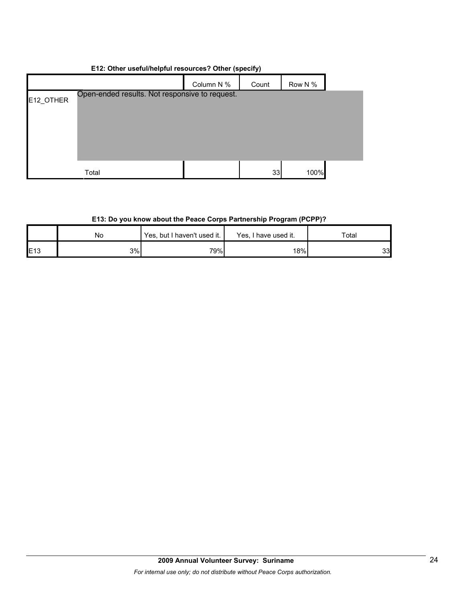## **E12: Other useful/helpful resources? Other (specify)**

|           |                                                | Column N % | Count | Row N % |  |
|-----------|------------------------------------------------|------------|-------|---------|--|
| E12_OTHER | Open-ended results. Not responsive to request. |            |       |         |  |
|           |                                                |            |       |         |  |
|           |                                                |            |       |         |  |
|           |                                                |            |       |         |  |
|           |                                                |            |       |         |  |
|           | Total                                          |            | 33    | 100%    |  |

## **E13: Do you know about the Peace Corps Partnership Program (PCPP)?**

|     | No | Yes, but I haven't used it. | Yes, I have used it. | Total |  |
|-----|----|-----------------------------|----------------------|-------|--|
| E13 | 3% | 79%                         | 18%                  | 33    |  |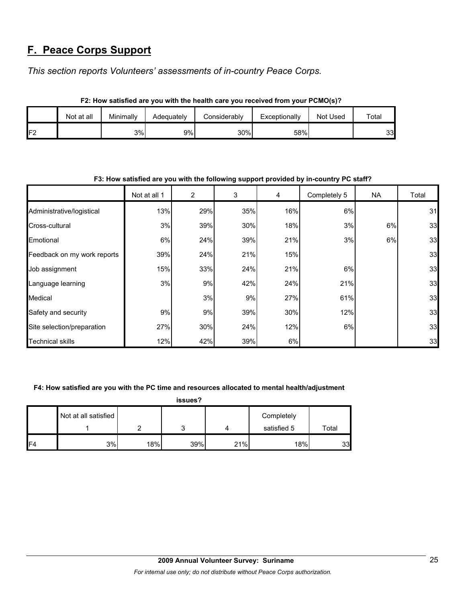# **F. Peace Corps Support**

*This section reports Volunteers' assessments of in-country Peace Corps.* 

|                | Not at all | Minimally | Adeauatelv | Considerablv | Exceptionally | Not Used | Total |  |  |  |  |
|----------------|------------|-----------|------------|--------------|---------------|----------|-------|--|--|--|--|
| F <sub>2</sub> |            | 3%l       | 9%         | 30%          | 58%           |          | 33    |  |  |  |  |

**F2: How satisfied are you with the health care you received from your PCMO(s)?**

| F3: How satisfied are you with the following support provided by in-country PC staff? |              |     |     |     |              |           |       |  |  |
|---------------------------------------------------------------------------------------|--------------|-----|-----|-----|--------------|-----------|-------|--|--|
|                                                                                       | Not at all 1 | 2   | 3   | 4   | Completely 5 | <b>NA</b> | Total |  |  |
| Administrative/logistical                                                             | 13%          | 29% | 35% | 16% | 6%           |           | 31    |  |  |
| Cross-cultural                                                                        | 3%           | 39% | 30% | 18% | 3%           | 6%        | 33    |  |  |
| Emotional                                                                             | 6%           | 24% | 39% | 21% | 3%           | 6%        | 33    |  |  |
| Feedback on my work reports                                                           | 39%          | 24% | 21% | 15% |              |           | 33    |  |  |
| Job assignment                                                                        | 15%          | 33% | 24% | 21% | 6%           |           | 33    |  |  |
| Language learning                                                                     | 3%           | 9%  | 42% | 24% | 21%          |           | 33    |  |  |
| Medical                                                                               |              | 3%  | 9%  | 27% | 61%          |           | 33    |  |  |
| Safety and security                                                                   | 9%           | 9%  | 39% | 30% | 12%          |           | 33    |  |  |
| Site selection/preparation                                                            | 27%          | 30% | 24% | 12% | 6%           |           | 33    |  |  |
| <b>Technical skills</b>                                                               | 12%          | 42% | 39% | 6%  |              |           | 33    |  |  |

#### **F3: How satisfied are you with the following support provided by in-country PC staff?**

### **F4: How satisfied are you with the PC time and resources allocated to mental health/adjustment**

**issues?**

|     | Not at all satisfied |     |     |     | Completely  |       |
|-----|----------------------|-----|-----|-----|-------------|-------|
|     |                      |     |     |     | satisfied 5 | Total |
| IF4 | 3%                   | 18% | 39% | 21% | 18%         | 33    |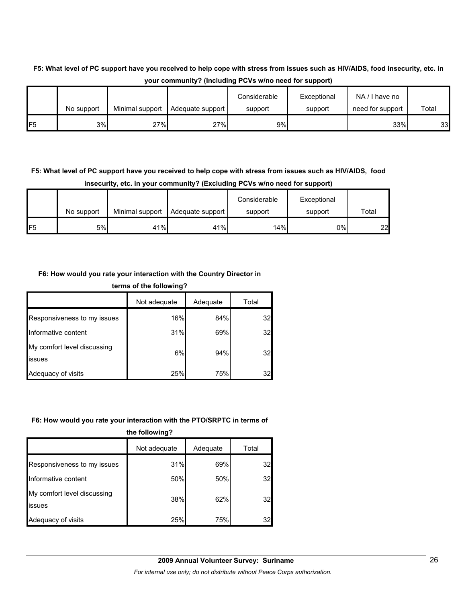## **F5: What level of PC support have you received to help cope with stress from issues such as HIV/AIDS, food insecurity, etc. in your community? (Including PCVs w/no need for support)**

|                   |    | Minimal support | Adequate support | support | support | need for support | Total |
|-------------------|----|-----------------|------------------|---------|---------|------------------|-------|
| No support<br>IF5 | 3% | 27%             | 27%              | 9%      |         | 33%              | 33    |

## **F5: What level of PC support have you received to help cope with stress from issues such as HIV/AIDS, food insecurity, etc. in your community? (Excluding PCVs w/no need for support)**

|     | No support | Minimal support | Adequate support | Considerable<br>support | Exceptional<br>support | Total |
|-----|------------|-----------------|------------------|-------------------------|------------------------|-------|
| IF5 | 5%         | 41%             | 41%              | 14%                     | 0%                     | 22    |

### **F6: How would you rate your interaction with the Country Director in**

| terms of the following?               |              |          |       |  |  |
|---------------------------------------|--------------|----------|-------|--|--|
|                                       | Not adequate | Adequate | Total |  |  |
| Responsiveness to my issues           | 16%          | 84%      | 32    |  |  |
| Informative content                   | 31%          | 69%      | 32    |  |  |
| My comfort level discussing<br>issues | 6%           | 94%      | 32    |  |  |
| Adequacy of visits                    | 25%          | 75%      | 32    |  |  |

### **F6: How would you rate your interaction with the PTO/SRPTC in terms of**

**the following?**

|                                       | Not adequate | Adequate | Total |  |
|---------------------------------------|--------------|----------|-------|--|
| Responsiveness to my issues           | 31%          | 69%      | 32    |  |
| Informative content                   | 50%          | 50%      | 32    |  |
| My comfort level discussing<br>issues | 38%          | 62%      | 32    |  |
| Adequacy of visits                    | 25%          | 75%      | 32    |  |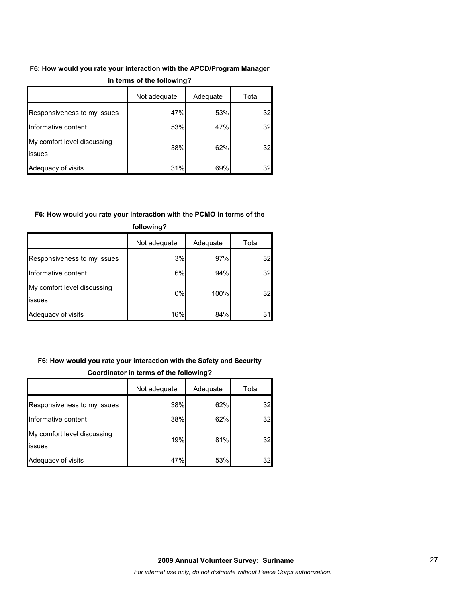# **F6: How would you rate your interaction with the APCD/Program Manager**

|                                              | Not adequate | Adequate | Total |  |
|----------------------------------------------|--------------|----------|-------|--|
| Responsiveness to my issues                  | 47%          | 53%      | 32    |  |
| Informative content                          | 53%          | 47%      | 32    |  |
| My comfort level discussing<br><b>issues</b> | 38%          | 62%      | 32    |  |
| Adequacy of visits                           | 31%          | 69%      | 32    |  |

#### **in terms of the following?**

### **F6: How would you rate your interaction with the PCMO in terms of the**

| .                                     |              |          |       |  |  |  |
|---------------------------------------|--------------|----------|-------|--|--|--|
|                                       | Not adequate | Adequate | Total |  |  |  |
| Responsiveness to my issues           | 3%           | 97%      | 32    |  |  |  |
| Informative content                   | 6%           | 94%      | 32    |  |  |  |
| My comfort level discussing<br>issues | 0%           | 100%     | 32    |  |  |  |
| Adequacy of visits                    | 16%          | 84%      | 31    |  |  |  |

## **following?**

## **F6: How would you rate your interaction with the Safety and Security Coordinator in terms of the following?**

|                                       | Not adequate | Adequate | Total |
|---------------------------------------|--------------|----------|-------|
| Responsiveness to my issues           | 38%          | 62%      | 32    |
| Informative content                   | 38%          | 62%      | 32    |
| My comfort level discussing<br>issues | 19%          | 81%      | 32    |
| Adequacy of visits                    | 47%          | 53%      | 32    |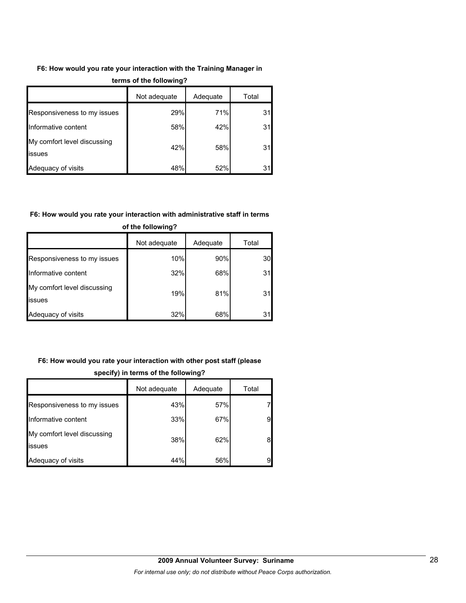## **F6: How would you rate your interaction with the Training Manager in**

|                                       | Not adequate | Adequate | Total |  |
|---------------------------------------|--------------|----------|-------|--|
| Responsiveness to my issues           | 29%          | 71%      | 31    |  |
| Informative content                   | 58%          | 42%      | 31    |  |
| My comfort level discussing<br>issues | 42%          | 58%      | 31    |  |
| Adequacy of visits                    | 48%          | 52%      | 31    |  |

#### **terms of the following?**

## **F6: How would you rate your interaction with administrative staff in terms**

|                                              | Not adequate | Adequate | Total           |  |
|----------------------------------------------|--------------|----------|-----------------|--|
| Responsiveness to my issues                  | 10%          | 90%      | 30 <sub>l</sub> |  |
| Informative content                          | 32%          | 68%      | 31              |  |
| My comfort level discussing<br><b>issues</b> | 19%          | 81%      | 31              |  |
| Adequacy of visits                           | 32%          | 68%      |                 |  |

### **of the following?**

## **F6: How would you rate your interaction with other post staff (please**

|                                       | Not adequate | Adequate | Total |
|---------------------------------------|--------------|----------|-------|
| Responsiveness to my issues           | 43%          | 57%      | 7     |
| Informative content                   | 33%          | 67%      | 9     |
| My comfort level discussing<br>issues | 38%          | 62%      | 8     |
| Adequacy of visits                    | 44%          | 56%      | 9     |

### **specify) in terms of the following?**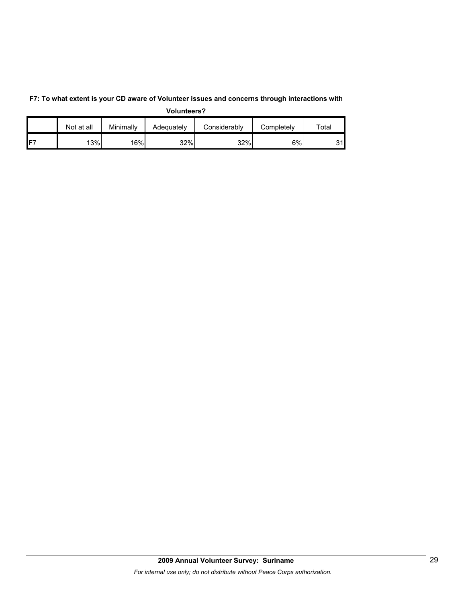|                 | Not at all | Minimally | Adequately | Considerably | Completelv | $\tau$ otal |
|-----------------|------------|-----------|------------|--------------|------------|-------------|
| IF <sub>7</sub> | 13%        | 16%       | 32%        | 32%          | 6%         | 31l         |

**F7: To what extent is your CD aware of Volunteer issues and concerns through interactions with Volunteers?**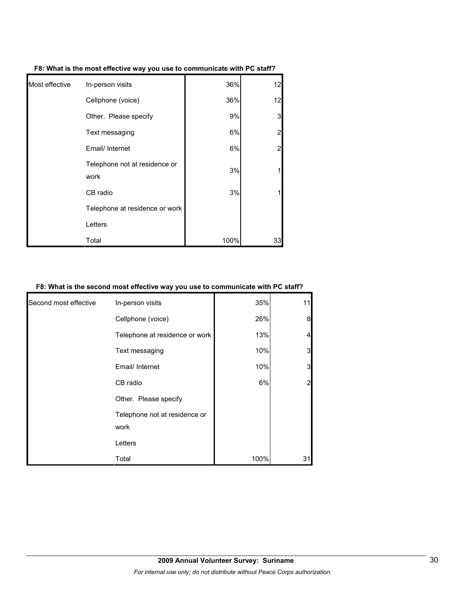| Most effective | In-person visits     | 36% | 12 |
|----------------|----------------------|-----|----|
|                | Cellphone (voice)    | 36% | 12 |
|                | Othar Dlagaa anaaifu | 00/ | ◠  |

**F8: What is the most effective way you use to communicate with PC staff?**

| Cellphone (voice)                     | 36%  | 12             |
|---------------------------------------|------|----------------|
| Other. Please specify                 | 9%   | 3              |
| Text messaging                        | 6%   | $\overline{2}$ |
| Email/ Internet                       | 6%   | $\overline{2}$ |
| Telephone not at residence or<br>work | 3%   | 1              |
| CB radio                              | 3%   | 1              |
| Telephone at residence or work        |      |                |
| Letters                               |      |                |
| Total                                 | 100% | 33             |

### **F8: What is the second most effective way you use to communicate with PC staff?**

| Second most effective | In-person visits                      | 35%  | 11 |
|-----------------------|---------------------------------------|------|----|
|                       | Cellphone (voice)                     | 26%  | 8  |
|                       | Telephone at residence or work        | 13%  |    |
|                       | Text messaging                        | 10%  | 3  |
|                       | Email/ Internet                       | 10%  | 3  |
|                       | CB radio                              | 6%   |    |
|                       | Other. Please specify                 |      |    |
|                       | Telephone not at residence or<br>work |      |    |
|                       | Letters                               |      |    |
|                       | Total                                 | 100% | 31 |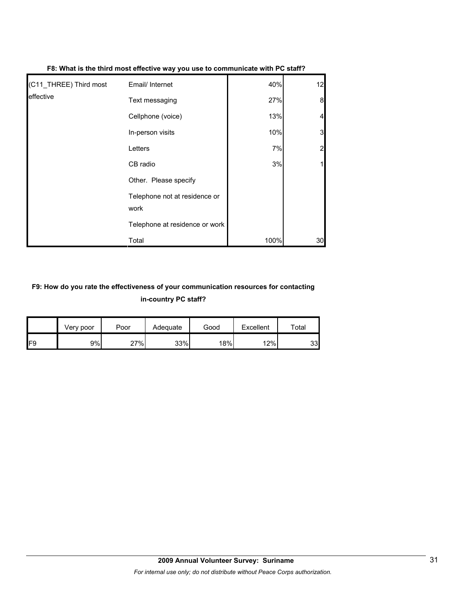| (C11_THREE) Third most | Email/ Internet                       | 40%  | 12 |
|------------------------|---------------------------------------|------|----|
| effective              | Text messaging                        | 27%  | 8  |
|                        | Cellphone (voice)                     | 13%  |    |
|                        | In-person visits                      | 10%  | 3  |
|                        | Letters                               | 7%   |    |
|                        | CB radio                              | 3%   |    |
|                        | Other. Please specify                 |      |    |
|                        | Telephone not at residence or<br>work |      |    |
|                        | Telephone at residence or work        |      |    |
|                        | Total                                 | 100% | 30 |

#### **F8: What is the third most effective way you use to communicate with PC staff?**

## **F9: How do you rate the effectiveness of your communication resources for contacting in-country PC staff?**

|                 | Very poor | Poor | Adequate | Good | Excellent | Total |
|-----------------|-----------|------|----------|------|-----------|-------|
| IF <sub>9</sub> | 9%        | 27%  | 33%      | 18%  | 12%       | 33    |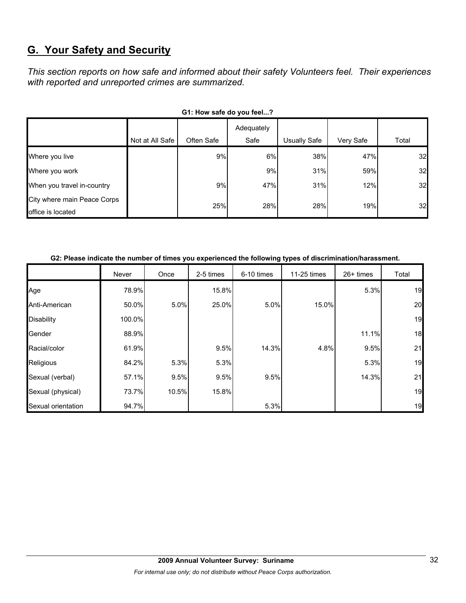# **G. Your Safety and Security**

*This section reports on how safe and informed about their safety Volunteers feel. Their experiences with reported and unreported crimes are summarized.* 

| OT. TOW SAIG UD YOU IGGI!                        |                 |            |                    |                     |           |       |  |  |  |
|--------------------------------------------------|-----------------|------------|--------------------|---------------------|-----------|-------|--|--|--|
|                                                  | Not at All Safe | Often Safe | Adequately<br>Safe | <b>Usually Safe</b> | Very Safe | Total |  |  |  |
| Where you live                                   |                 | 9%         | 6%                 | 38%                 | 47%       | 32    |  |  |  |
| Where you work                                   |                 |            | 9%                 | 31%                 | 59%       | 32    |  |  |  |
| When you travel in-country                       |                 | 9%         | 47%                | 31%                 | 12%       | 32    |  |  |  |
| City where main Peace Corps<br>office is located |                 | 25%        | 28%                | 28%                 | 19%       | 32    |  |  |  |

## G1: How safe do you feel.<sup>2</sup>

#### **G2: Please indicate the number of times you experienced the following types of discrimination/harassment.**

|                    | Never  | Once  | 2-5 times | 6-10 times | 11-25 times | $26+$ times | Total |
|--------------------|--------|-------|-----------|------------|-------------|-------------|-------|
| Age                | 78.9%  |       | 15.8%     |            |             | 5.3%        | 19    |
| Anti-American      | 50.0%  | 5.0%  | 25.0%     | 5.0%       | 15.0%       |             | 20    |
| <b>Disability</b>  | 100.0% |       |           |            |             |             | 19    |
| Gender             | 88.9%  |       |           |            |             | 11.1%       | 18    |
| Racial/color       | 61.9%  |       | 9.5%      | 14.3%      | 4.8%        | 9.5%        | 21    |
| Religious          | 84.2%  | 5.3%  | 5.3%      |            |             | 5.3%        | 19    |
| Sexual (verbal)    | 57.1%  | 9.5%  | 9.5%      | 9.5%       |             | 14.3%       | 21    |
| Sexual (physical)  | 73.7%  | 10.5% | 15.8%     |            |             |             | 19    |
| Sexual orientation | 94.7%  |       |           | 5.3%       |             |             | 19    |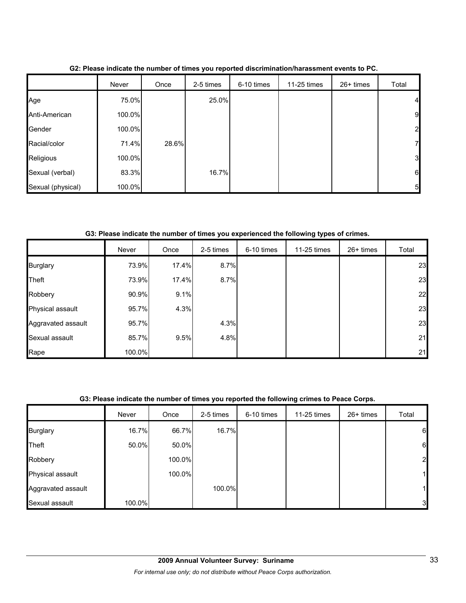|                   | Never  | Once  | 2-5 times | 6-10 times | 11-25 times | 26+ times | Total           |
|-------------------|--------|-------|-----------|------------|-------------|-----------|-----------------|
| Age               | 75.0%  |       | 25.0%     |            |             |           | $\overline{4}$  |
| Anti-American     | 100.0% |       |           |            |             |           | 9               |
| Gender            | 100.0% |       |           |            |             |           | $\overline{2}$  |
| Racial/color      | 71.4%  | 28.6% |           |            |             |           | $\mathbf{z}$    |
| Religious         | 100.0% |       |           |            |             |           | 3 <sup>l</sup>  |
| Sexual (verbal)   | 83.3%  |       | 16.7%     |            |             |           | $6\phantom{.}6$ |
| Sexual (physical) | 100.0% |       |           |            |             |           | 5 <sub>5</sub>  |

**G2: Please indicate the number of times you reported discrimination/harassment events to PC.**

**G3: Please indicate the number of times you experienced the following types of crimes.**

|                    | Never  | Once  | 2-5 times | 6-10 times | 11-25 times | $26+$ times | Total |
|--------------------|--------|-------|-----------|------------|-------------|-------------|-------|
| <b>Burglary</b>    | 73.9%  | 17.4% | 8.7%      |            |             |             | 23    |
| Theft              | 73.9%  | 17.4% | 8.7%      |            |             |             | 23    |
| Robbery            | 90.9%  | 9.1%  |           |            |             |             | 22    |
| Physical assault   | 95.7%  | 4.3%  |           |            |             |             | 23    |
| Aggravated assault | 95.7%  |       | 4.3%      |            |             |             | 23    |
| Sexual assault     | 85.7%  | 9.5%  | 4.8%      |            |             |             | 21    |
| Rape               | 100.0% |       |           |            |             |             | 21    |

### **G3: Please indicate the number of times you reported the following crimes to Peace Corps.**

|                    | Never  | Once   | 2-5 times | 6-10 times | 11-25 times | 26+ times | Total          |
|--------------------|--------|--------|-----------|------------|-------------|-----------|----------------|
| <b>Burglary</b>    | 16.7%  | 66.7%  | 16.7%     |            |             |           | 6              |
| Theft              | 50.0%  | 50.0%  |           |            |             |           | 6              |
| Robbery            |        | 100.0% |           |            |             |           | $\overline{2}$ |
| Physical assault   |        | 100.0% |           |            |             |           |                |
| Aggravated assault |        |        | 100.0%    |            |             |           | 1              |
| Sexual assault     | 100.0% |        |           |            |             |           | 3              |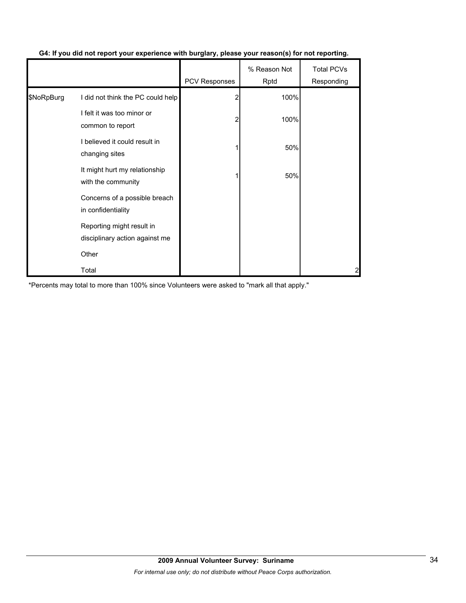|            |                                                             | PCV Responses | % Reason Not<br>Rptd | <b>Total PCVs</b><br>Responding |
|------------|-------------------------------------------------------------|---------------|----------------------|---------------------------------|
| \$NoRpBurg | I did not think the PC could help                           | 2             | 100%                 |                                 |
|            | I felt it was too minor or<br>common to report              | 2             | 100%                 |                                 |
|            | I believed it could result in<br>changing sites             |               | 50%                  |                                 |
|            | It might hurt my relationship<br>with the community         |               | 50%                  |                                 |
|            | Concerns of a possible breach<br>in confidentiality         |               |                      |                                 |
|            | Reporting might result in<br>disciplinary action against me |               |                      |                                 |
|            | Other                                                       |               |                      |                                 |
|            | Total                                                       |               |                      | 2                               |

## **G4: If you did not report your experience with burglary, please your reason(s) for not reporting.**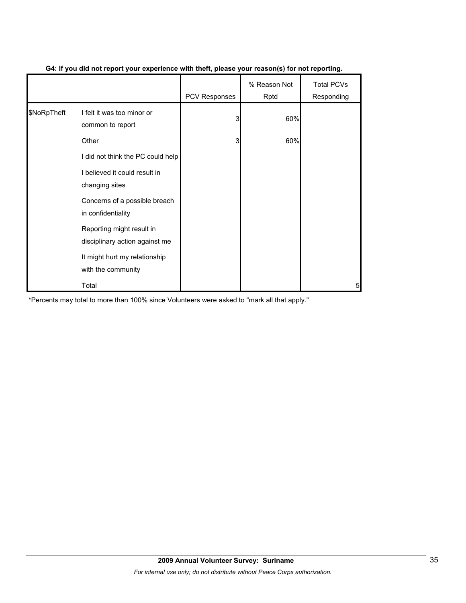|             |                                                             | <b>PCV Responses</b> | % Reason Not<br>Rptd | <b>Total PCVs</b><br>Responding |
|-------------|-------------------------------------------------------------|----------------------|----------------------|---------------------------------|
| \$NoRpTheft | I felt it was too minor or<br>common to report              | 3                    | 60%                  |                                 |
|             | Other                                                       | 3                    | 60%                  |                                 |
|             | I did not think the PC could help                           |                      |                      |                                 |
|             | I believed it could result in<br>changing sites             |                      |                      |                                 |
|             | Concerns of a possible breach<br>in confidentiality         |                      |                      |                                 |
|             | Reporting might result in<br>disciplinary action against me |                      |                      |                                 |
|             | It might hurt my relationship<br>with the community         |                      |                      |                                 |
|             | Total                                                       |                      |                      | 5                               |

### **G4: If you did not report your experience with theft, please your reason(s) for not reporting.**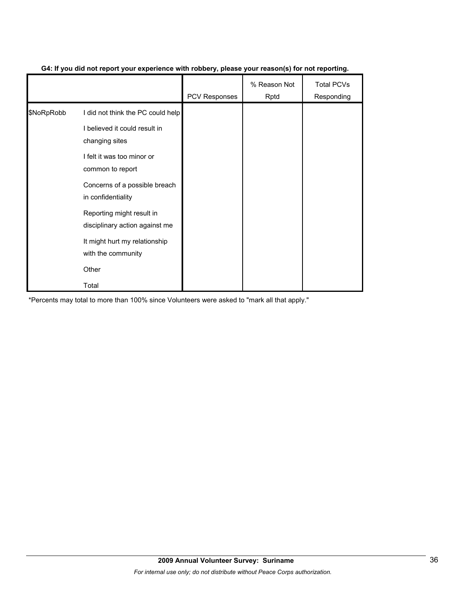|            |                                                             | <b>PCV Responses</b> | % Reason Not<br>Rptd | <b>Total PCVs</b><br>Responding |
|------------|-------------------------------------------------------------|----------------------|----------------------|---------------------------------|
| \$NoRpRobb | I did not think the PC could help                           |                      |                      |                                 |
|            | I believed it could result in<br>changing sites             |                      |                      |                                 |
|            | I felt it was too minor or<br>common to report              |                      |                      |                                 |
|            | Concerns of a possible breach<br>in confidentiality         |                      |                      |                                 |
|            | Reporting might result in<br>disciplinary action against me |                      |                      |                                 |
|            | It might hurt my relationship<br>with the community         |                      |                      |                                 |
|            | Other                                                       |                      |                      |                                 |
|            | Total                                                       |                      |                      |                                 |

### **G4: If you did not report your experience with robbery, please your reason(s) for not reporting.**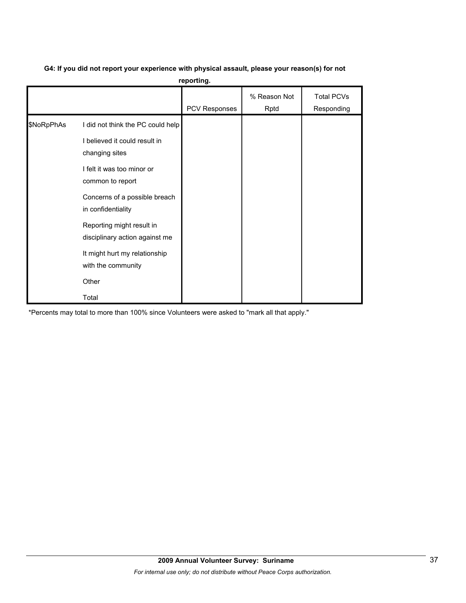# **G4: If you did not report your experience with physical assault, please your reason(s) for not**

**reporting.**

|            |                                                                                                                                                                                                                                                              | PCV Responses | % Reason Not<br>Rptd | <b>Total PCVs</b><br>Responding |
|------------|--------------------------------------------------------------------------------------------------------------------------------------------------------------------------------------------------------------------------------------------------------------|---------------|----------------------|---------------------------------|
| \$NoRpPhAs | I did not think the PC could help<br>I believed it could result in<br>changing sites<br>I felt it was too minor or<br>common to report<br>Concerns of a possible breach<br>in confidentiality<br>Reporting might result in<br>disciplinary action against me |               |                      |                                 |
|            | It might hurt my relationship<br>with the community<br>Other<br>Total                                                                                                                                                                                        |               |                      |                                 |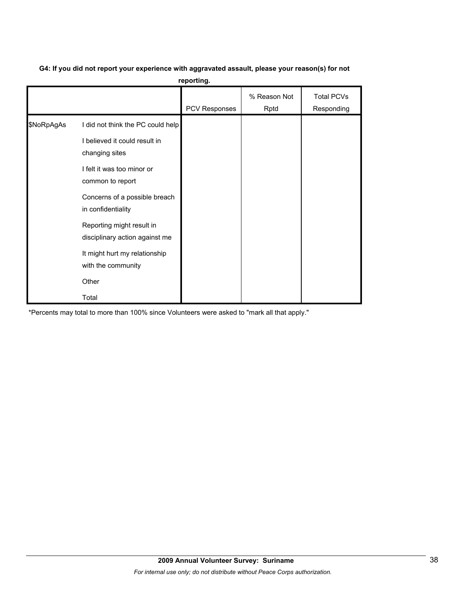# **G4: If you did not report your experience with aggravated assault, please your reason(s) for not**

**reporting.**

|            |                                                                                                                                                                         | PCV Responses | % Reason Not<br>Rptd | <b>Total PCVs</b><br>Responding |
|------------|-------------------------------------------------------------------------------------------------------------------------------------------------------------------------|---------------|----------------------|---------------------------------|
| \$NoRpAgAs | I did not think the PC could help<br>I believed it could result in<br>changing sites<br>I felt it was too minor or<br>common to report<br>Concerns of a possible breach |               |                      |                                 |
|            | in confidentiality<br>Reporting might result in<br>disciplinary action against me<br>It might hurt my relationship<br>with the community<br>Other<br>Total              |               |                      |                                 |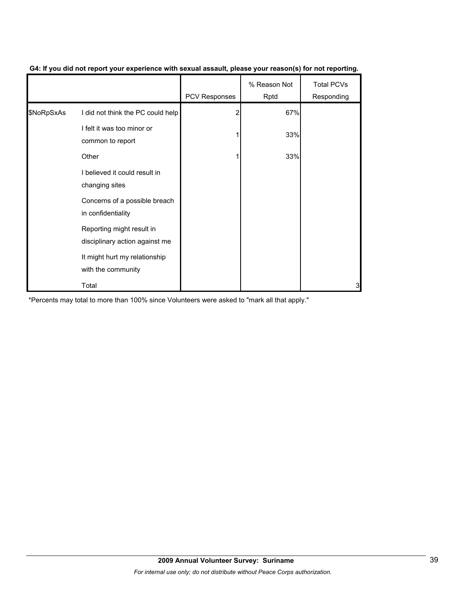|            |                                                             | <b>PCV Responses</b> | % Reason Not<br>Rptd | <b>Total PCVs</b><br>Responding |
|------------|-------------------------------------------------------------|----------------------|----------------------|---------------------------------|
| \$NoRpSxAs | I did not think the PC could help                           |                      | 67%                  |                                 |
|            | I felt it was too minor or<br>common to report              |                      | 33%                  |                                 |
|            | Other                                                       |                      | 33%                  |                                 |
|            | I believed it could result in<br>changing sites             |                      |                      |                                 |
|            | Concerns of a possible breach<br>in confidentiality         |                      |                      |                                 |
|            | Reporting might result in<br>disciplinary action against me |                      |                      |                                 |
|            | It might hurt my relationship<br>with the community         |                      |                      |                                 |
|            | Total                                                       |                      |                      | 3                               |

### **G4: If you did not report your experience with sexual assault, please your reason(s) for not reporting.**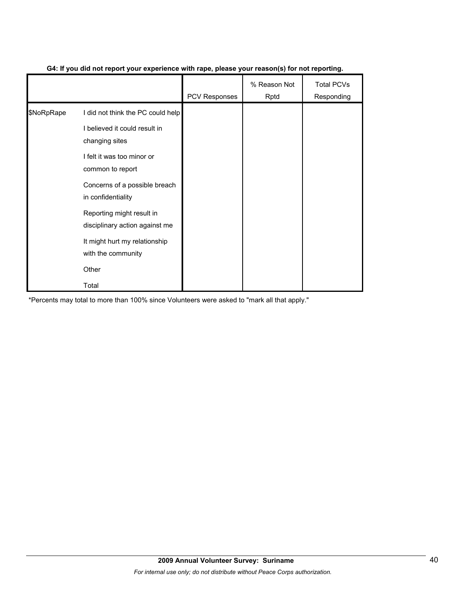|            |                                                             | <b>PCV Responses</b> | % Reason Not<br>Rptd | <b>Total PCVs</b><br>Responding |
|------------|-------------------------------------------------------------|----------------------|----------------------|---------------------------------|
| \$NoRpRape | I did not think the PC could help                           |                      |                      |                                 |
|            | I believed it could result in<br>changing sites             |                      |                      |                                 |
|            | I felt it was too minor or<br>common to report              |                      |                      |                                 |
|            | Concerns of a possible breach<br>in confidentiality         |                      |                      |                                 |
|            | Reporting might result in<br>disciplinary action against me |                      |                      |                                 |
|            | It might hurt my relationship<br>with the community         |                      |                      |                                 |
|            | Other                                                       |                      |                      |                                 |
|            | Total                                                       |                      |                      |                                 |

### **G4: If you did not report your experience with rape, please your reason(s) for not reporting.**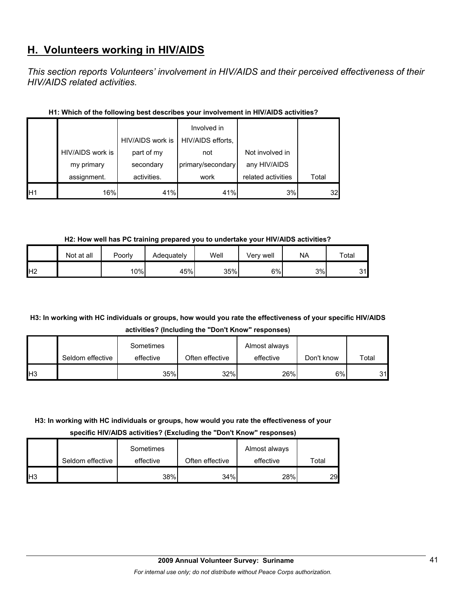# **H. Volunteers working in HIV/AIDS**

*This section reports Volunteers' involvement in HIV/AIDS and their perceived effectiveness of their HIV/AIDS related activities.* 

|                |                  | HIV/AIDS work is | Involved in<br>HIV/AIDS efforts, |                    |       |
|----------------|------------------|------------------|----------------------------------|--------------------|-------|
|                | HIV/AIDS work is | part of my       | not                              | Not involved in    |       |
|                | my primary       | secondary        | primary/secondary                | any HIV/AIDS       |       |
|                | assignment.      | activities.      | work                             | related activities | Total |
| H <sub>1</sub> | 16%              | 41%              | 41%                              | 3%                 | 32    |

### **H1: Which of the following best describes your involvement in HIV/AIDS activities?**

**H2: How well has PC training prepared you to undertake your HIV/AIDS activities?**

|                | Not at all | Poorly | Adequately | Well | √erv well | NA | Total |
|----------------|------------|--------|------------|------|-----------|----|-------|
| H <sub>2</sub> |            | 10%    | 45%        | 35%  | 6%        | 3% | 31    |

## **H3: In working with HC individuals or groups, how would you rate the effectiveness of your specific HIV/AIDS activities? (Including the "Don't Know" responses)**

|            |                  | Sometimes |                 | Almost always |            |       |
|------------|------------------|-----------|-----------------|---------------|------------|-------|
|            | Seldom effective | effective | Often effective | effective     | Don't know | Total |
| <b>H</b> 3 |                  | 35%       | 32%             | 26%           | 6%         | 31    |

## **H3: In working with HC individuals or groups, how would you rate the effectiveness of your**

**specific HIV/AIDS activities? (Excluding the "Don't Know" responses)**

|                |                  | Sometimes |                 | Almost always |       |
|----------------|------------------|-----------|-----------------|---------------|-------|
|                | Seldom effective | effective | Often effective | effective     | Total |
| H <sub>3</sub> |                  | 38%       | 34%             | 28%           | 29    |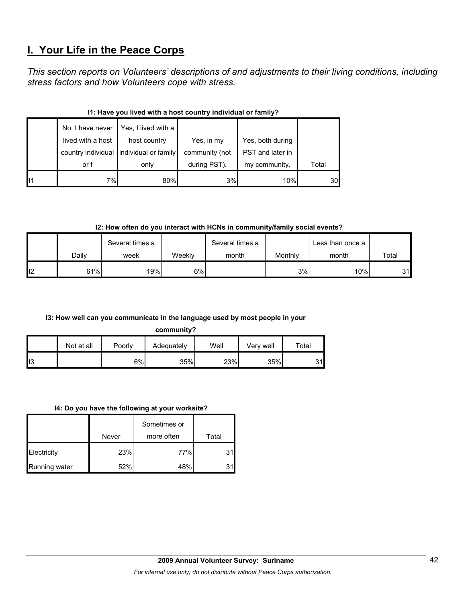# **I. Your Life in the Peace Corps**

*This section reports on Volunteers' descriptions of and adjustments to their living conditions, including stress factors and how Volunteers cope with stress.* 

|    | No, I have never  | Yes, I lived with a                     |                |                  |       |  |  |  |  |
|----|-------------------|-----------------------------------------|----------------|------------------|-------|--|--|--|--|
|    | lived with a host | host country                            | Yes, in my     | Yes, both during |       |  |  |  |  |
|    |                   | country individual individual or family | community (not | PST and later in |       |  |  |  |  |
|    | or f              | only                                    | during PST).   | my community.    | Total |  |  |  |  |
| 11 | 7%                | 80%                                     | 3%             | 10%              | 30    |  |  |  |  |

### **I1: Have you lived with a host country individual or family?**

**I2: How often do you interact with HCNs in community/family social events?**

|     |       | Several times a |        | Several times a |         | Less than once a I |       |
|-----|-------|-----------------|--------|-----------------|---------|--------------------|-------|
|     | Dailv | week            | Weekly | month           | Monthly | month              | Total |
| ll2 | 61%   | 19%             | 6%     |                 | 3%      | 10%                | 31    |

### **I3: How well can you communicate in the language used by most people in your**

**community?**

|     | Not at all | Poorly | Adequately | Well | Very well | $\tau$ otal |
|-----|------------|--------|------------|------|-----------|-------------|
| II3 |            | 6%     | 35%        | 23%  | 35%       | $\sim$ 1    |

#### **I4: Do you have the following at your worksite?**

|                      |       | Sometimes or |       |
|----------------------|-------|--------------|-------|
|                      | Never | more often   | Total |
| Electricity          | 23%   | 77%          | 31    |
| <b>Running water</b> | 52%   | 48%          | 31    |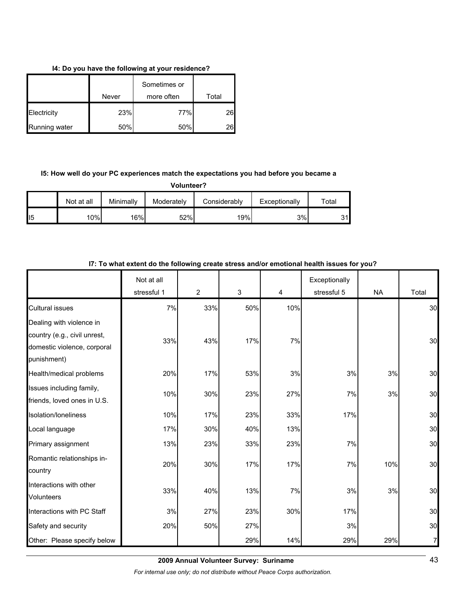#### **I4: Do you have the following at your residence?**

|               |       | Sometimes or |       |
|---------------|-------|--------------|-------|
|               | Never | more often   | Total |
| Electricity   | 23%   | 77%          | 26    |
| Running water | 50%   | 50%          |       |

## **I5: How well do your PC experiences match the expectations you had before you became a**

**Volunteer?**

|                 | Not at all | Minimallv | Moderately | Considerablv     | Exceptionally | $\tau$ otal |
|-----------------|------------|-----------|------------|------------------|---------------|-------------|
| II <sub>5</sub> | 10%        | 16%       | 52%        | 19% <sub>I</sub> | 3%            | ົາ<br>ັ     |

|                                                                            | Not at all<br>stressful 1 | $\overline{2}$ | 3   | 4   | Exceptionally<br>stressful 5 | <b>NA</b> | Total |
|----------------------------------------------------------------------------|---------------------------|----------------|-----|-----|------------------------------|-----------|-------|
| <b>Cultural issues</b>                                                     | 7%                        | 33%            | 50% | 10% |                              |           | 30    |
| Dealing with violence in                                                   |                           |                |     |     |                              |           |       |
| country (e.g., civil unrest,<br>domestic violence, corporal<br>punishment) | 33%                       | 43%            | 17% | 7%  |                              |           | 30    |
| Health/medical problems                                                    | 20%                       | 17%            | 53% | 3%  | 3%                           | 3%        | 30    |
| Issues including family,<br>friends, loved ones in U.S.                    | 10%                       | 30%            | 23% | 27% | 7%                           | 3%        | 30    |
| Isolation/loneliness                                                       | 10%                       | 17%            | 23% | 33% | 17%                          |           | 30    |
| Local language                                                             | 17%                       | 30%            | 40% | 13% |                              |           | 30    |
| Primary assignment                                                         | 13%                       | 23%            | 33% | 23% | 7%                           |           | 30    |
| Romantic relationships in-<br>country                                      | 20%                       | 30%            | 17% | 17% | 7%                           | 10%       | 30    |
| Interactions with other<br>Volunteers                                      | 33%                       | 40%            | 13% | 7%  | 3%                           | 3%        | 30    |
| Interactions with PC Staff                                                 | $3%$                      | 27%            | 23% | 30% | 17%                          |           | 30    |
| Safety and security                                                        | 20%                       | 50%            | 27% |     | 3%                           |           | 30    |
| Other: Please specify below                                                |                           |                | 29% | 14% | 29%                          | 29%       | 7     |

#### **I7: To what extent do the following create stress and/or emotional health issues for you?**

**2009 Annual Volunteer Survey: Suriname**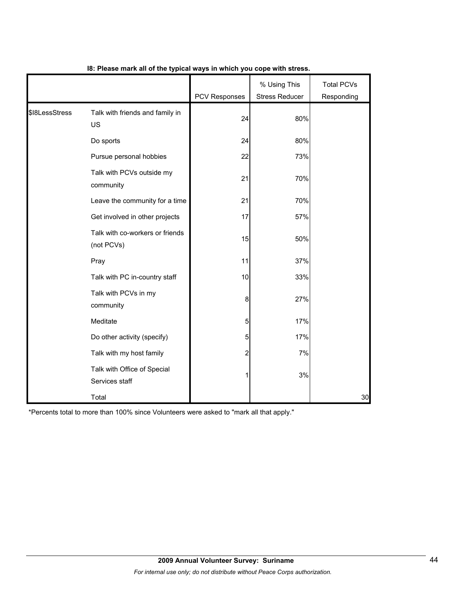|                |                                               | <b>PCV Responses</b> | % Using This<br><b>Stress Reducer</b> | <b>Total PCVs</b><br>Responding |
|----------------|-----------------------------------------------|----------------------|---------------------------------------|---------------------------------|
| \$18LessStress | Talk with friends and family in<br>US         | 24                   | 80%                                   |                                 |
|                | Do sports                                     | 24                   | 80%                                   |                                 |
|                | Pursue personal hobbies                       | 22                   | 73%                                   |                                 |
|                | Talk with PCVs outside my<br>community        | 21                   | 70%                                   |                                 |
|                | Leave the community for a time                | 21                   | 70%                                   |                                 |
|                | Get involved in other projects                | 17                   | 57%                                   |                                 |
|                | Talk with co-workers or friends<br>(not PCVs) | 15                   | 50%                                   |                                 |
|                | Pray                                          | 11                   | 37%                                   |                                 |
|                | Talk with PC in-country staff                 | 10                   | 33%                                   |                                 |
|                | Talk with PCVs in my<br>community             | 8                    | 27%                                   |                                 |
|                | Meditate                                      | 5                    | 17%                                   |                                 |
|                | Do other activity (specify)                   | 5                    | 17%                                   |                                 |
|                | Talk with my host family                      | 2                    | 7%                                    |                                 |
|                | Talk with Office of Special<br>Services staff | 1                    | 3%                                    |                                 |
|                | Total                                         |                      |                                       | 30                              |

### **I8: Please mark all of the typical ways in which you cope with stress.**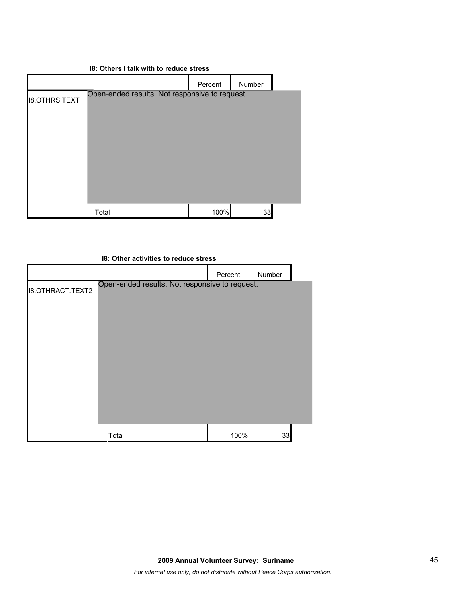### **I8: Others I talk with to reduce stress**

|                      |                                                | Percent | Number |  |
|----------------------|------------------------------------------------|---------|--------|--|
| <b>I8.OTHRS.TEXT</b> | Open-ended results. Not responsive to request. |         |        |  |
|                      |                                                |         |        |  |
|                      |                                                |         |        |  |
|                      |                                                |         |        |  |
|                      |                                                |         |        |  |
|                      |                                                |         |        |  |
|                      |                                                |         |        |  |
|                      | Total                                          | 100%    | 33     |  |

| 18: Other activities to reduce stress |                                                |         |        |  |  |
|---------------------------------------|------------------------------------------------|---------|--------|--|--|
|                                       |                                                | Percent | Number |  |  |
| <b>I8.OTHRACT.TEXT2</b>               | Open-ended results. Not responsive to request. |         |        |  |  |
|                                       | Total                                          | 100%    | 33     |  |  |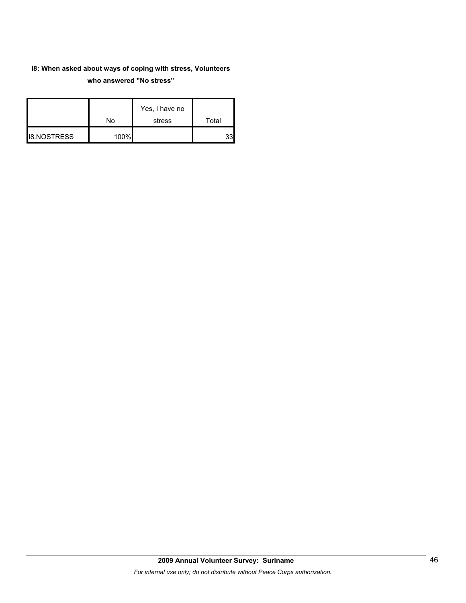## **I8: When asked about ways of coping with stress, Volunteers who answered "No stress"**

|                    | No   | Yes, I have no<br>stress | Total |
|--------------------|------|--------------------------|-------|
| <b>I8.NOSTRESS</b> | 100% |                          |       |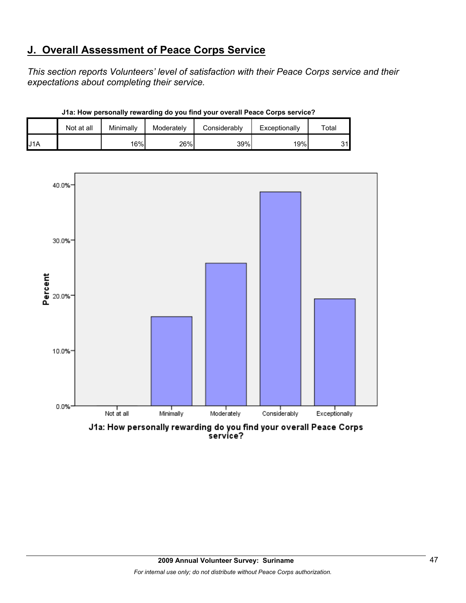# **J. Overall Assessment of Peace Corps Service**

*This section reports Volunteers' level of satisfaction with their Peace Corps service and their expectations about completing their service.* 

|                  | Not at all | Minimally | Moderately | Considerably | Exceptionally | $\tau$ otar |
|------------------|------------|-----------|------------|--------------|---------------|-------------|
| J <sub>1</sub> A |            | 16%       | 26%        | 39%          | 19%           | 31l         |

**J1a: How personally rewarding do you find your overall Peace Corps service?**



J1a: How personally rewarding do you find your overall Peace Corps<br>service?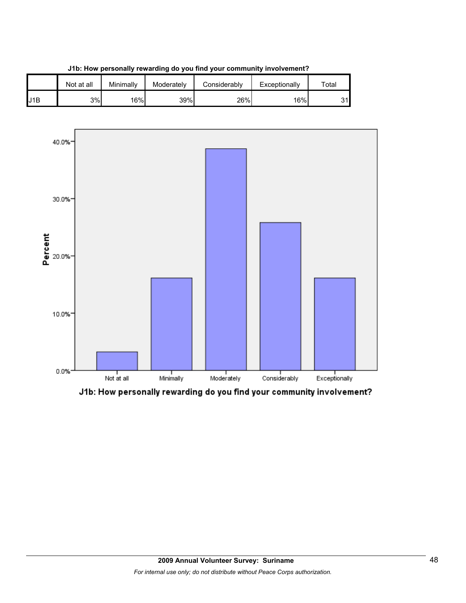

**J1b: How personally rewarding do you find your community involvement?**



J1b: How personally rewarding do you find your community involvement?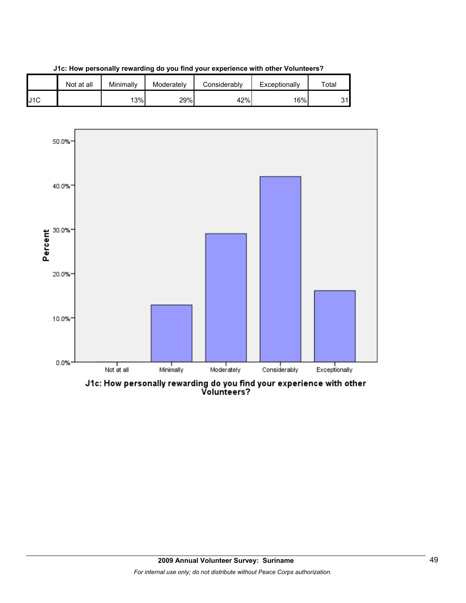





J1c: How personally rewarding do you find your experience with other<br>Volunteers?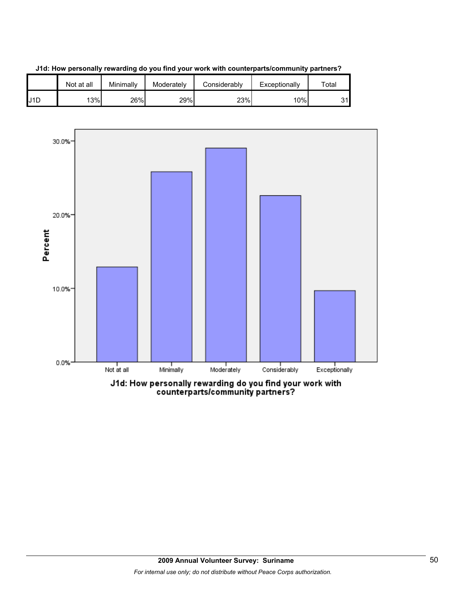

**J1d: How personally rewarding do you find your work with counterparts/community partners?**

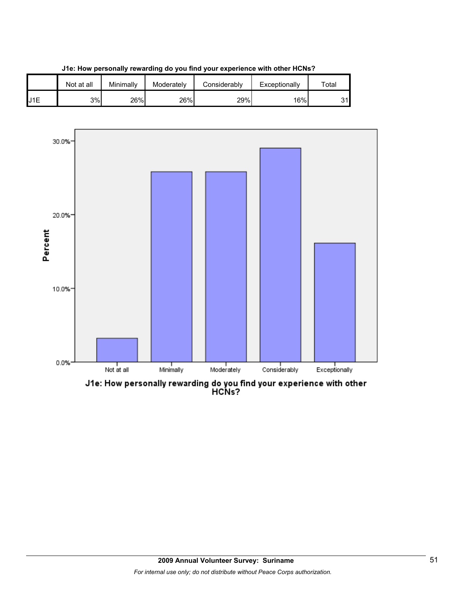





J1e: How personally rewarding do you find your experience with other<br>HCNs?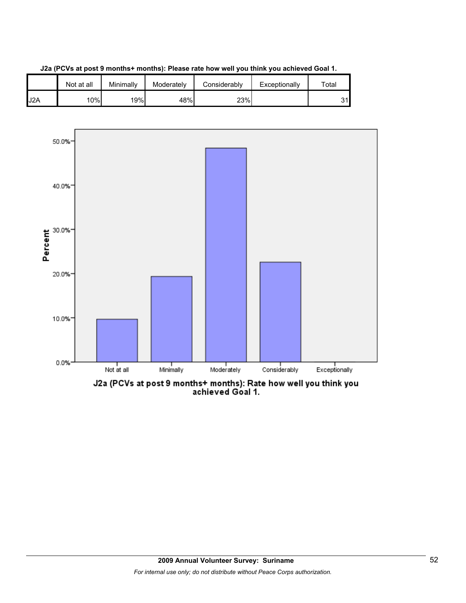

**J2a (PCVs at post 9 months+ months): Please rate how well you think you achieved Goal 1.**





J2a (PCVs at post 9 months+ months): Rate how well you think you<br>achieved Goal 1.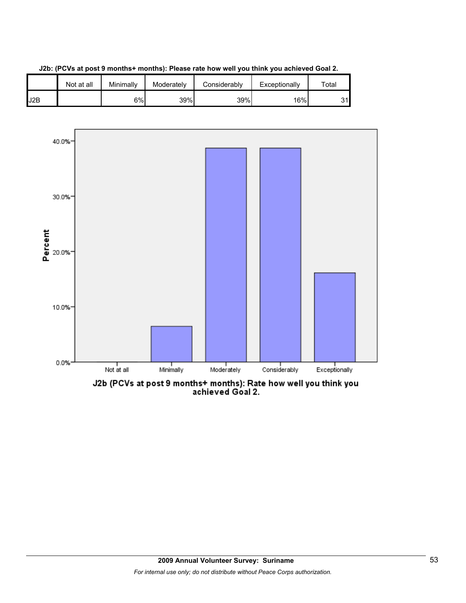



J2b (PCVs at post 9 months+ months): Rate how well you think you<br>achieved Goal 2.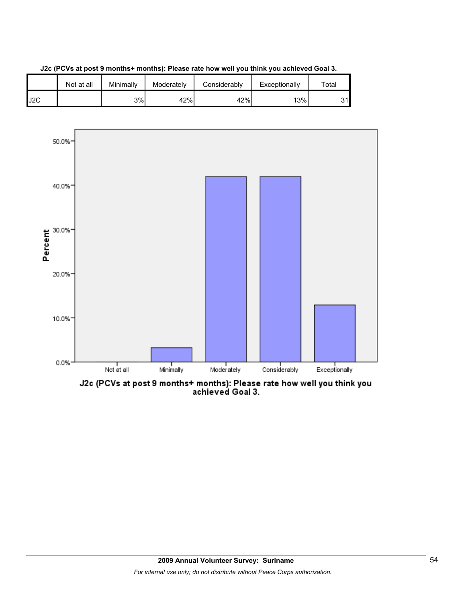



J2c (PCVs at post 9 months+ months): Please rate how well you think you<br>achieved Goal 3.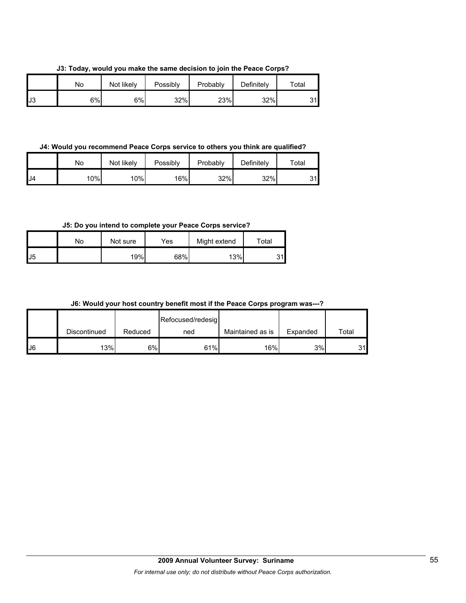**J3: Today, would you make the same decision to join the Peace Corps?**

|    | Nο | Not likely | Possibly | Probably | Definitely | $\tau$ otal |
|----|----|------------|----------|----------|------------|-------------|
| J3 | 6% | 6%         | 32%      | 23%      | 32%        | ົາ          |

**J4: Would you recommend Peace Corps service to others you think are qualified?**

|     | No  | Not likely | Possibly | Probably | Definitely | $\tau$ otal       |
|-----|-----|------------|----------|----------|------------|-------------------|
| IJ4 | 10% | $10\%$     | 16%      | 32%      | 32%        | <b>O</b> 4<br>ا ت |

**J5: Do you intend to complete your Peace Corps service?**

|    | N٥ | Not sure | Yes | Might extend | Total    |
|----|----|----------|-----|--------------|----------|
| J5 |    | 19%      | 68% | 13%          | 31l<br>ັ |

**J6: Would your host country benefit most if the Peace Corps program was---?**

|     |              |         | Refocused/redesig |                  |          |       |
|-----|--------------|---------|-------------------|------------------|----------|-------|
|     | Discontinued | Reduced | ned               | Maintained as is | Expanded | Total |
| IJ6 | 13%          | 6%      | 61%               | 16%              | 3%       | 31    |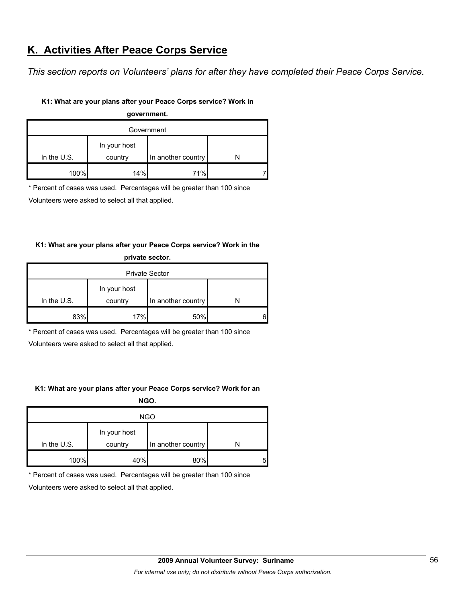# **K. Activities After Peace Corps Service**

*This section reports on Volunteers' plans for after they have completed their Peace Corps Service.* 

#### **K1: What are your plans after your Peace Corps service? Work in**

| government.   |              |                    |  |  |  |
|---------------|--------------|--------------------|--|--|--|
|               | Government   |                    |  |  |  |
|               | In your host |                    |  |  |  |
| In the $U.S.$ | country      | In another country |  |  |  |
| 100%          | 14%          | 71%                |  |  |  |

\* Percent of cases was used. Percentages will be greater than 100 since

Volunteers were asked to select all that applied.

### **K1: What are your plans after your Peace Corps service? Work in the**

| private sector.       |              |                    |   |  |
|-----------------------|--------------|--------------------|---|--|
| <b>Private Sector</b> |              |                    |   |  |
|                       | In your host |                    |   |  |
| In the $U.S.$         | country      | In another country |   |  |
| 83%                   | 17%          | 50%                | 6 |  |

\* Percent of cases was used. Percentages will be greater than 100 since

Volunteers were asked to select all that applied.

### **K1: What are your plans after your Peace Corps service? Work for an**

**NGO.**

| <b>NGO</b>    |                         |                    |   |  |
|---------------|-------------------------|--------------------|---|--|
| In the $U.S.$ | In your host<br>country | In another country |   |  |
| 100%          | 40%                     | 80%                | 5 |  |

\* Percent of cases was used. Percentages will be greater than 100 since

Volunteers were asked to select all that applied.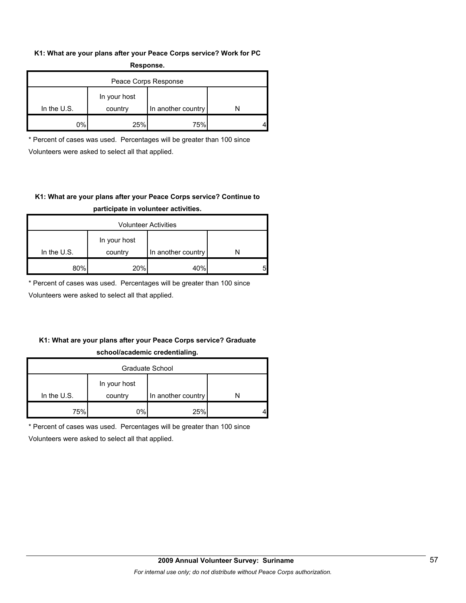#### **K1: What are your plans after your Peace Corps service? Work for PC Response.**

|               | -----------             |                      |  |
|---------------|-------------------------|----------------------|--|
|               |                         | Peace Corps Response |  |
| In the $U.S.$ | In your host<br>country | In another country   |  |
| $0\%$         | 25%                     | 75%                  |  |

\* Percent of cases was used. Percentages will be greater than 100 since Volunteers were asked to select all that applied.

## **K1: What are your plans after your Peace Corps service? Continue to participate in volunteer activities.**

|               |                         | <b>Volunteer Activities</b> |   |
|---------------|-------------------------|-----------------------------|---|
| In the $U.S.$ | In your host<br>country | In another country          |   |
|               |                         |                             |   |
| 80%           | 20%                     | 40%                         | 5 |

\* Percent of cases was used. Percentages will be greater than 100 since

Volunteers were asked to select all that applied.

## **K1: What are your plans after your Peace Corps service? Graduate school/academic credentialing.**

| Graduate School |              |                    |  |  |
|-----------------|--------------|--------------------|--|--|
|                 | In your host |                    |  |  |
| In the $U.S.$   | country      | In another country |  |  |
| 75%             | 0%           | 25%                |  |  |

\* Percent of cases was used. Percentages will be greater than 100 since

Volunteers were asked to select all that applied.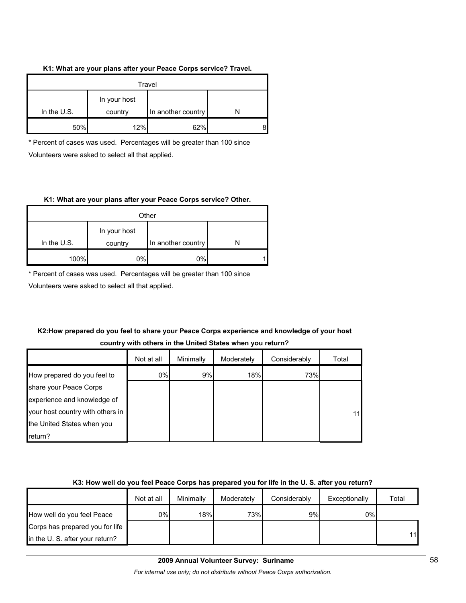#### **K1: What are your plans after your Peace Corps service? Travel.**

| Travel                                                         |     |     |  |  |
|----------------------------------------------------------------|-----|-----|--|--|
| In your host<br>In the $U.S.$<br>In another country<br>country |     |     |  |  |
| 50%                                                            | 12% | 62% |  |  |

\* Percent of cases was used. Percentages will be greater than 100 since Volunteers were asked to select all that applied.

#### **K1: What are your plans after your Peace Corps service? Other.**

| Other       |              |                    |  |  |  |
|-------------|--------------|--------------------|--|--|--|
|             | In your host |                    |  |  |  |
| In the U.S. | country      | In another country |  |  |  |
| 100%        | 0%I          | 0%                 |  |  |  |

\* Percent of cases was used. Percentages will be greater than 100 since

Volunteers were asked to select all that applied.

## **K2:How prepared do you feel to share your Peace Corps experience and knowledge of your host country with others in the United States when you return?**

|                                  | Not at all | Minimally | Moderately | Considerably | Total |
|----------------------------------|------------|-----------|------------|--------------|-------|
| How prepared do you feel to      | 0%         | 9%        | 18%        | 73%          |       |
| share your Peace Corps           |            |           |            |              |       |
| experience and knowledge of      |            |           |            |              |       |
| your host country with others in |            |           |            |              | 11    |
| the United States when you       |            |           |            |              |       |
| return?                          |            |           |            |              |       |

### **K3: How well do you feel Peace Corps has prepared you for life in the U. S. after you return?**

|                                 | Not at all | Minimally | Moderately | Considerably | Exceptionally | Total |
|---------------------------------|------------|-----------|------------|--------------|---------------|-------|
| How well do you feel Peace      | 0%I        | 18%       | 73%        | 9%           | $0\%$         |       |
| Corps has prepared you for life |            |           |            |              |               |       |
| in the U. S. after your return? |            |           |            |              |               | 11    |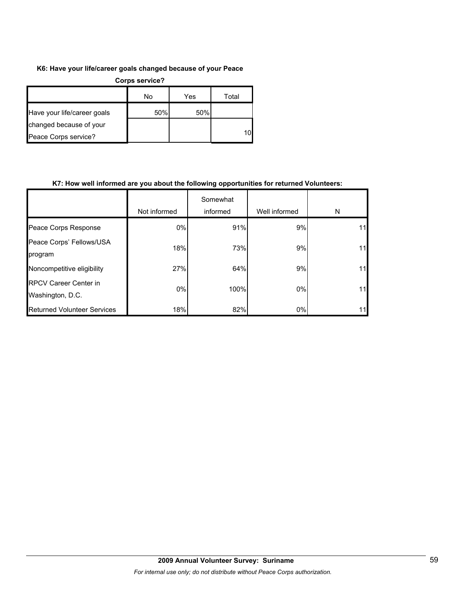### **K6: Have your life/career goals changed because of your Peace**

| Corps service?              |     |     |       |  |  |
|-----------------------------|-----|-----|-------|--|--|
|                             | No  | Yes | Total |  |  |
| Have your life/career goals | 50% | 50% |       |  |  |
| changed because of your     |     |     |       |  |  |
| Peace Corps service?        |     |     | 10    |  |  |

#### **K7: How well informed are you about the following opportunities for returned Volunteers:**

|                                                  | Not informed | Somewhat<br>informed | Well informed | N  |
|--------------------------------------------------|--------------|----------------------|---------------|----|
| Peace Corps Response                             | 0%           | 91%                  | 9%            | 11 |
| Peace Corps' Fellows/USA<br>program              | 18%          | 73%                  | 9%            | 11 |
| Noncompetitive eligibility                       | 27%          | 64%                  | 9%            | 11 |
| <b>RPCV Career Center in</b><br>Washington, D.C. | $0\%$        | 100%                 | 0%            | 11 |
| <b>Returned Volunteer Services</b>               | 18%          | 82%                  | 0%            | 11 |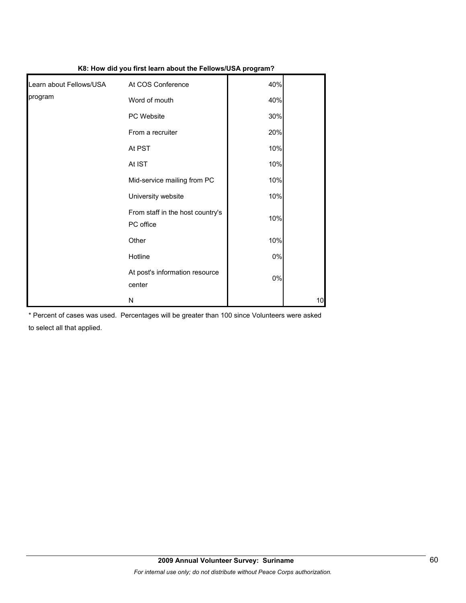| Learn about Fellows/USA | At COS Conference                             | 40%   |    |
|-------------------------|-----------------------------------------------|-------|----|
| program                 | Word of mouth                                 | 40%   |    |
|                         | PC Website                                    | 30%   |    |
|                         | From a recruiter                              | 20%   |    |
|                         | At PST                                        | 10%   |    |
|                         | At IST                                        | 10%   |    |
|                         | Mid-service mailing from PC                   | 10%   |    |
|                         | University website                            | 10%   |    |
|                         | From staff in the host country's<br>PC office | 10%   |    |
|                         | Other                                         | 10%   |    |
|                         | Hotline                                       | $0\%$ |    |
|                         | At post's information resource<br>center      | $0\%$ |    |
|                         | Ν                                             |       | 10 |

**K8: How did you first learn about the Fellows/USA program?**

\* Percent of cases was used. Percentages will be greater than 100 since Volunteers were asked to select all that applied.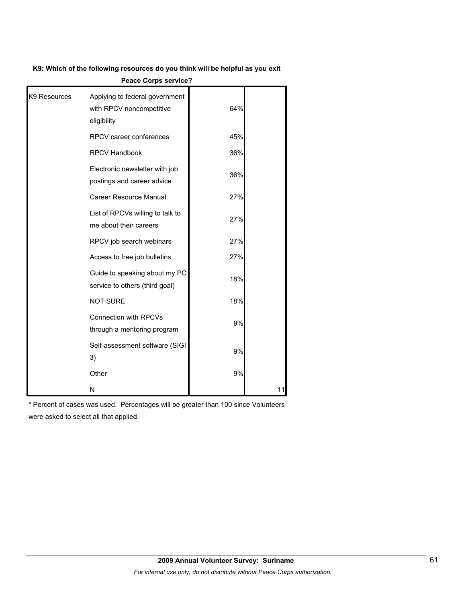**K9: Which of the following resources do you think will be helpful as you exit** 

| K9 Resources | Applying to federal government<br>with RPCV noncompetitive<br>eligibility | 64% |    |
|--------------|---------------------------------------------------------------------------|-----|----|
|              | RPCV career conferences                                                   | 45% |    |
|              | <b>RPCV Handbook</b>                                                      | 36% |    |
|              | Electronic newsletter with job<br>postings and career advice              | 36% |    |
|              | <b>Career Resource Manual</b>                                             | 27% |    |
|              | List of RPCVs willing to talk to<br>me about their careers                | 27% |    |
|              | RPCV job search webinars                                                  | 27% |    |
|              | Access to free job bulletins                                              | 27% |    |
|              | Guide to speaking about my PC<br>service to others (third goal)           | 18% |    |
|              | <b>NOT SURE</b>                                                           | 18% |    |
|              | <b>Connection with RPCVs</b><br>through a mentoring program               | 9%  |    |
|              | Self-assessment software (SIGI<br>3)                                      | 9%  |    |
|              | Other                                                                     | 9%  |    |
|              | N                                                                         |     | 11 |

**Peace Corps service?**

\* Percent of cases was used. Percentages will be greater than 100 since Volunteers were asked to select all that applied.